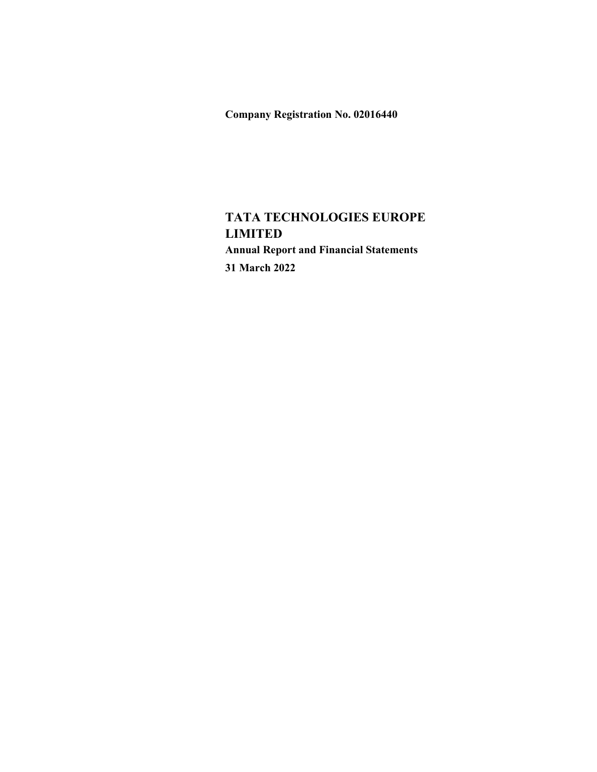Company Registration No. 02016440

# TATA TECHNOLOGIES EUROPE LIMITED Annual Report and Financial Statements 31 March 2022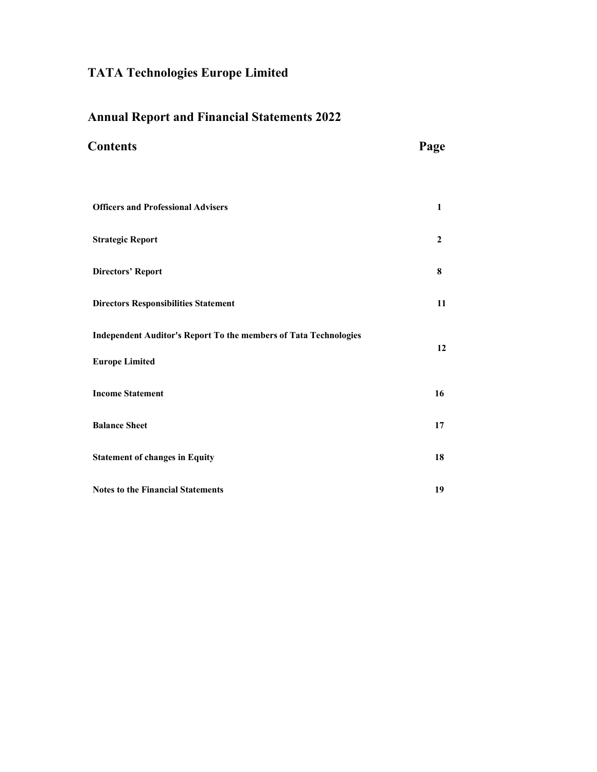# Annual Report and Financial Statements 2022

| <b>Contents</b>                                                  | Page             |  |  |
|------------------------------------------------------------------|------------------|--|--|
|                                                                  |                  |  |  |
| <b>Officers and Professional Advisers</b>                        | $\mathbf{1}$     |  |  |
| <b>Strategic Report</b>                                          | $\boldsymbol{2}$ |  |  |
| <b>Directors' Report</b>                                         | 8                |  |  |
| <b>Directors Responsibilities Statement</b>                      | 11               |  |  |
| Independent Auditor's Report To the members of Tata Technologies | 12               |  |  |
| <b>Europe Limited</b>                                            |                  |  |  |
| <b>Income Statement</b>                                          | 16               |  |  |
| <b>Balance Sheet</b>                                             | 17               |  |  |
| <b>Statement of changes in Equity</b>                            | 18               |  |  |
| <b>Notes to the Financial Statements</b>                         | 19               |  |  |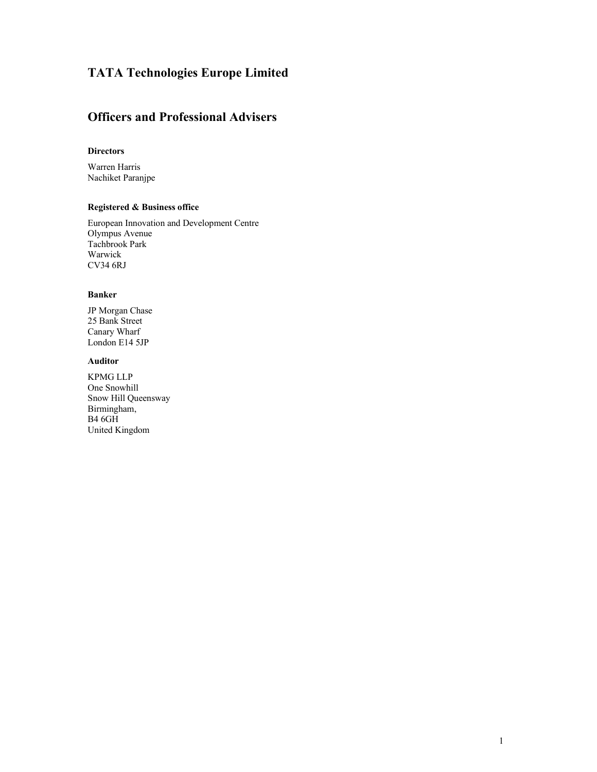## Officers and Professional Advisers

#### **Directors**

Warren Harris Nachiket Paranjpe

#### Registered & Business office

European Innovation and Development Centre Olympus Avenue Tachbrook Park Warwick CV34 6RJ

#### Banker

JP Morgan Chase 25 Bank Street Canary Wharf London E14 5JP

#### Auditor

KPMG LLP One Snowhill Snow Hill Queensway Birmingham, B4 6GH United Kingdom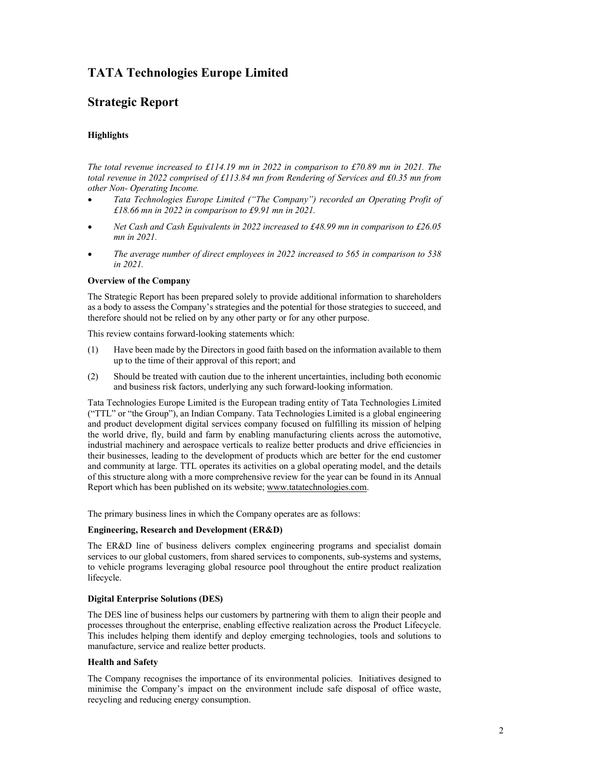## Strategic Report

#### **Highlights**

The total revenue increased to £114.19 mn in 2022 in comparison to £70.89 mn in 2021. The total revenue in 2022 comprised of £113.84 mn from Rendering of Services and £0.35 mn from other Non- Operating Income.

- Tata Technologies Europe Limited ("The Company") recorded an Operating Profit of £18.66 mn in 2022 in comparison to £9.91 mn in 2021.
- Net Cash and Cash Equivalents in 2022 increased to £48.99 mn in comparison to £26.05  $\bullet$ mn in 2021.
- The average number of direct employees in 2022 increased to 565 in comparison to 538 in 2021.

#### Overview of the Company

The Strategic Report has been prepared solely to provide additional information to shareholders as a body to assess the Company's strategies and the potential for those strategies to succeed, and therefore should not be relied on by any other party or for any other purpose.

This review contains forward-looking statements which:

- (1) Have been made by the Directors in good faith based on the information available to them up to the time of their approval of this report; and
- (2) Should be treated with caution due to the inherent uncertainties, including both economic and business risk factors, underlying any such forward-looking information.

Tata Technologies Europe Limited is the European trading entity of Tata Technologies Limited ("TTL" or "the Group"), an Indian Company. Tata Technologies Limited is a global engineering and product development digital services company focused on fulfilling its mission of helping the world drive, fly, build and farm by enabling manufacturing clients across the automotive, industrial machinery and aerospace verticals to realize better products and drive efficiencies in their businesses, leading to the development of products which are better for the end customer and community at large. TTL operates its activities on a global operating model, and the details of this structure along with a more comprehensive review for the year can be found in its Annual Report which has been published on its website; www.tatatechnologies.com.

The primary business lines in which the Company operates are as follows:

#### Engineering, Research and Development (ER&D)

The ER&D line of business delivers complex engineering programs and specialist domain services to our global customers, from shared services to components, sub-systems and systems, to vehicle programs leveraging global resource pool throughout the entire product realization lifecycle.

#### Digital Enterprise Solutions (DES)

The DES line of business helps our customers by partnering with them to align their people and processes throughout the enterprise, enabling effective realization across the Product Lifecycle. This includes helping them identify and deploy emerging technologies, tools and solutions to manufacture, service and realize better products.

#### Health and Safety

The Company recognises the importance of its environmental policies. Initiatives designed to minimise the Company's impact on the environment include safe disposal of office waste, recycling and reducing energy consumption.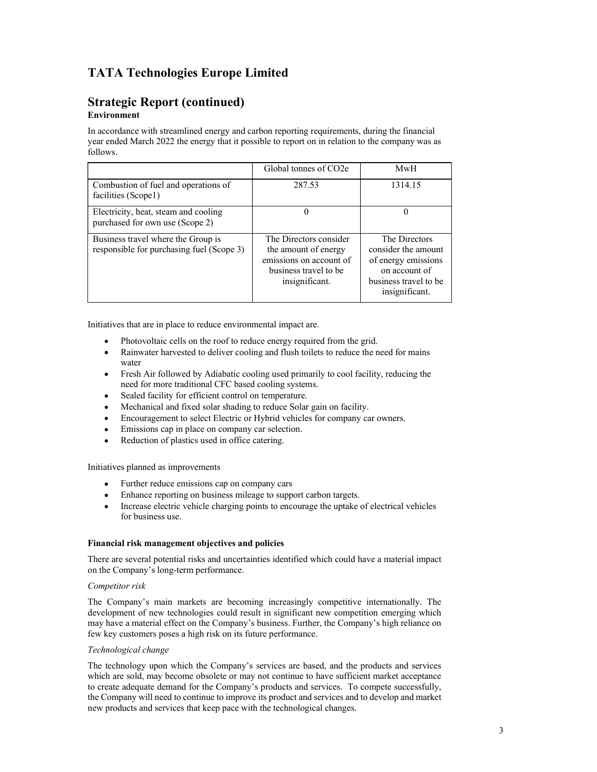#### Strategic Report (continued) Environment

#### In accordance with streamlined energy and carbon reporting requirements, during the financial year ended March 2022 the energy that it possible to report on in relation to the company was as follows.

|                                                                                 | Global tonnes of CO2e                                                                                                | MwH                                                                                                                     |
|---------------------------------------------------------------------------------|----------------------------------------------------------------------------------------------------------------------|-------------------------------------------------------------------------------------------------------------------------|
| Combustion of fuel and operations of<br>facilities (Scope1)                     | 287.53                                                                                                               | 1314.15                                                                                                                 |
| Electricity, heat, steam and cooling<br>purchased for own use (Scope 2)         | 0                                                                                                                    | 0                                                                                                                       |
| Business travel where the Group is<br>responsible for purchasing fuel (Scope 3) | The Directors consider<br>the amount of energy<br>emissions on account of<br>business travel to be<br>insignificant. | The Directors<br>consider the amount<br>of energy emissions<br>on account of<br>business travel to be<br>insignificant. |

Initiatives that are in place to reduce environmental impact are.

- Photovoltaic cells on the roof to reduce energy required from the grid.
- Rainwater harvested to deliver cooling and flush toilets to reduce the need for mains water
- Fresh Air followed by Adiabatic cooling used primarily to cool facility, reducing the need for more traditional CFC based cooling systems.
- Sealed facility for efficient control on temperature.
- Mechanical and fixed solar shading to reduce Solar gain on facility.
- Encouragement to select Electric or Hybrid vehicles for company car owners.
- Emissions cap in place on company car selection.
- Reduction of plastics used in office catering.

#### Initiatives planned as improvements

- Further reduce emissions cap on company cars
- Enhance reporting on business mileage to support carbon targets.
- Increase electric vehicle charging points to encourage the uptake of electrical vehicles for business use.

#### Financial risk management objectives and policies

There are several potential risks and uncertainties identified which could have a material impact on the Company's long-term performance.

#### Competitor risk

The Company's main markets are becoming increasingly competitive internationally. The development of new technologies could result in significant new competition emerging which may have a material effect on the Company's business. Further, the Company's high reliance on few key customers poses a high risk on its future performance.

#### Technological change

The technology upon which the Company's services are based, and the products and services which are sold, may become obsolete or may not continue to have sufficient market acceptance to create adequate demand for the Company's products and services. To compete successfully, the Company will need to continue to improve its product and services and to develop and market new products and services that keep pace with the technological changes.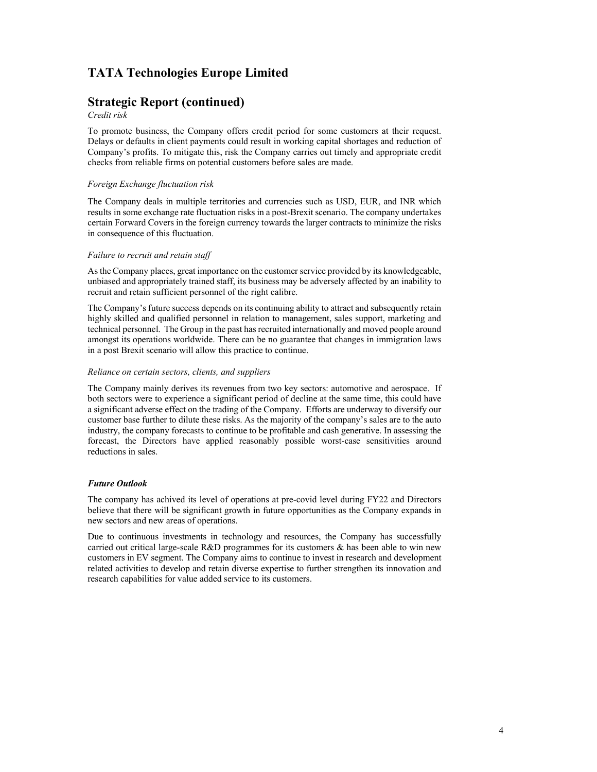## Strategic Report (continued)

#### Credit risk

To promote business, the Company offers credit period for some customers at their request. Delays or defaults in client payments could result in working capital shortages and reduction of Company's profits. To mitigate this, risk the Company carries out timely and appropriate credit checks from reliable firms on potential customers before sales are made.

#### Foreign Exchange fluctuation risk

The Company deals in multiple territories and currencies such as USD, EUR, and INR which results in some exchange rate fluctuation risks in a post-Brexit scenario. The company undertakes certain Forward Covers in the foreign currency towards the larger contracts to minimize the risks in consequence of this fluctuation.

#### Failure to recruit and retain staff

As the Company places, great importance on the customer service provided by its knowledgeable, unbiased and appropriately trained staff, its business may be adversely affected by an inability to recruit and retain sufficient personnel of the right calibre.

The Company's future success depends on its continuing ability to attract and subsequently retain highly skilled and qualified personnel in relation to management, sales support, marketing and technical personnel. The Group in the past has recruited internationally and moved people around amongst its operations worldwide. There can be no guarantee that changes in immigration laws in a post Brexit scenario will allow this practice to continue.

#### Reliance on certain sectors, clients, and suppliers

The Company mainly derives its revenues from two key sectors: automotive and aerospace. If both sectors were to experience a significant period of decline at the same time, this could have a significant adverse effect on the trading of the Company. Efforts are underway to diversify our customer base further to dilute these risks. As the majority of the company's sales are to the auto industry, the company forecasts to continue to be profitable and cash generative. In assessing the forecast, the Directors have applied reasonably possible worst-case sensitivities around reductions in sales.

#### Future Outlook

The company has achived its level of operations at pre-covid level during FY22 and Directors believe that there will be significant growth in future opportunities as the Company expands in new sectors and new areas of operations.

Due to continuous investments in technology and resources, the Company has successfully carried out critical large-scale R&D programmes for its customers & has been able to win new customers in EV segment. The Company aims to continue to invest in research and development related activities to develop and retain diverse expertise to further strengthen its innovation and research capabilities for value added service to its customers.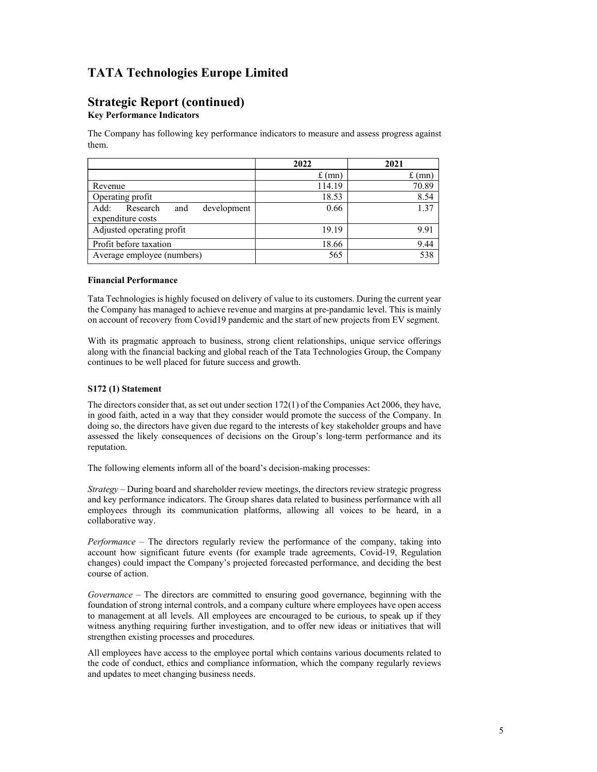# Strategic Report (continued)

Key Performance Indicators

The Company has following key performance indicators to measure and assess progress against them.

|                                        | 2022   | 2021   |
|----------------------------------------|--------|--------|
|                                        | f (mn) | f (mn) |
| Revenue                                | 14.19  | 70.89  |
| Operating profit                       | 18.53  | 8.54   |
| Add:<br>Research<br>development<br>and | 0.66   | 1.37   |
| expenditure costs                      |        |        |
| Adjusted operating profit              | 19.19  | 9.91   |
| Profit before taxation                 | 18.66  | 9.44   |
| Average employee (numbers)             | 565    | 538    |

#### Financial Performance

Tata Technologies is highly focused on delivery of value to its customers. During the current year the Company has managed to achieve revenue and margins at pre-pandamic level. This is mainly on account of recovery from Covid19 pandemic and the start of new projects from EV segment.

 With its pragmatic approach to business, strong client relationships, unique service offerings along with the financial backing and global reach of the Tata Technologies Group, the Company continues to be well placed for future success and growth.

#### S172 (1) Statement

The directors consider that, as set out under section 172(1) of the Companies Act 2006, they have, in good faith, acted in a way that they consider would promote the success of the Company. In doing so, the directors have given due regard to the interests of key stakeholder groups and have assessed the likely consequences of decisions on the Group's long-term performance and its reputation.

The following elements inform all of the board's decision-making processes:

 $Strategy - During board$  and shareholder review meetings, the directors review strategic progress and key performance indicators. The Group shares data related to business performance with all employees through its communication platforms, allowing all voices to be heard, in a collaborative way.

Performance – The directors regularly review the performance of the company, taking into account how significant future events (for example trade agreements, Covid-19, Regulation changes) could impact the Company's projected forecasted performance, and deciding the best course of action.

Governance – The directors are committed to ensuring good governance, beginning with the foundation of strong internal controls, and a company culture where employees have open access to management at all levels. All employees are encouraged to be curious, to speak up if they witness anything requiring further investigation, and to offer new ideas or initiatives that will strengthen existing processes and procedures.

All employees have access to the employee portal which contains various documents related to the code of conduct, ethics and compliance information, which the company regularly reviews and updates to meet changing business needs.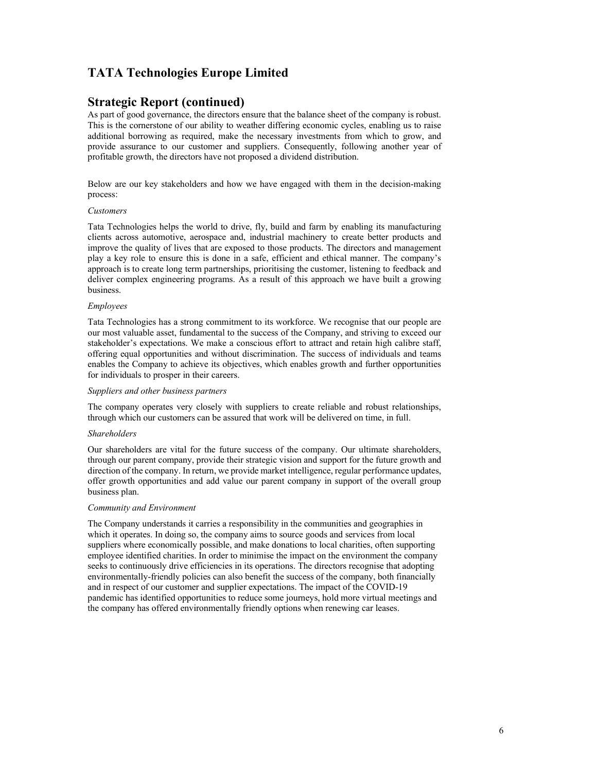### Strategic Report (continued)

As part of good governance, the directors ensure that the balance sheet of the company is robust. This is the cornerstone of our ability to weather differing economic cycles, enabling us to raise additional borrowing as required, make the necessary investments from which to grow, and provide assurance to our customer and suppliers. Consequently, following another year of profitable growth, the directors have not proposed a dividend distribution.

 Below are our key stakeholders and how we have engaged with them in the decision-making process:

#### Customers

Tata Technologies helps the world to drive, fly, build and farm by enabling its manufacturing clients across automotive, aerospace and, industrial machinery to create better products and improve the quality of lives that are exposed to those products. The directors and management play a key role to ensure this is done in a safe, efficient and ethical manner. The company's approach is to create long term partnerships, prioritising the customer, listening to feedback and deliver complex engineering programs. As a result of this approach we have built a growing business.

#### Employees

Tata Technologies has a strong commitment to its workforce. We recognise that our people are our most valuable asset, fundamental to the success of the Company, and striving to exceed our stakeholder's expectations. We make a conscious effort to attract and retain high calibre staff, offering equal opportunities and without discrimination. The success of individuals and teams enables the Company to achieve its objectives, which enables growth and further opportunities for individuals to prosper in their careers.

#### Suppliers and other business partners

The company operates very closely with suppliers to create reliable and robust relationships, through which our customers can be assured that work will be delivered on time, in full.

#### **Shareholders**

Our shareholders are vital for the future success of the company. Our ultimate shareholders, through our parent company, provide their strategic vision and support for the future growth and direction of the company. In return, we provide market intelligence, regular performance updates, offer growth opportunities and add value our parent company in support of the overall group business plan.

#### Community and Environment

The Company understands it carries a responsibility in the communities and geographies in which it operates. In doing so, the company aims to source goods and services from local suppliers where economically possible, and make donations to local charities, often supporting employee identified charities. In order to minimise the impact on the environment the company seeks to continuously drive efficiencies in its operations. The directors recognise that adopting environmentally-friendly policies can also benefit the success of the company, both financially and in respect of our customer and supplier expectations. The impact of the COVID-19 pandemic has identified opportunities to reduce some journeys, hold more virtual meetings and the company has offered environmentally friendly options when renewing car leases.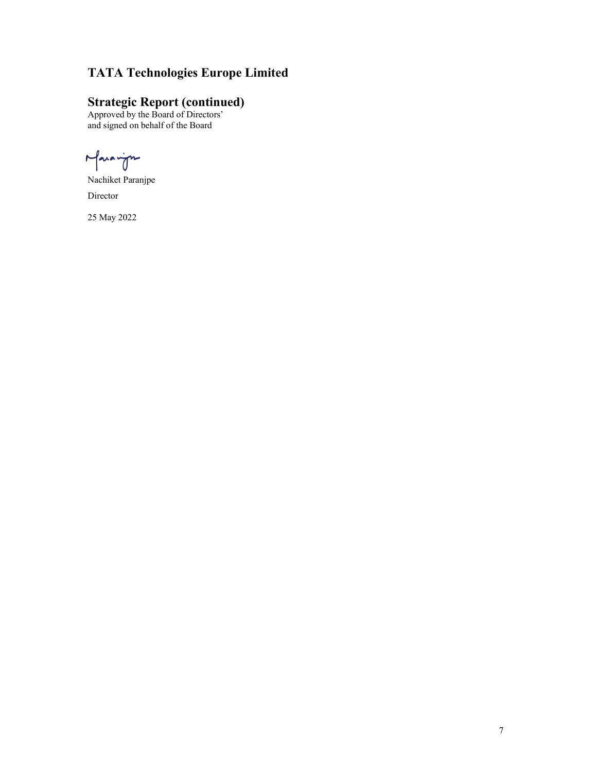# TATA Technologies Europe Limited TATA Technologies Europe Limited<br>Strategic Report (continued)<br>Approved by the Board of Directors'<br>and signed on behalf of the Board<br>
And right TATA Technologies Europe Limited<br>
Strategic Report (continued)<br>
Approved by the Board of Directors'<br>
and signed on behalf of the Board<br>
And vine<br>
Nachiket Paranjpe<br>
Director<br>
25 May 2022

# **Strategic Report (continued)**<br>Approved by the Board of Directors'

and signed on behalf of the Board

Nachiket Paranjpe Director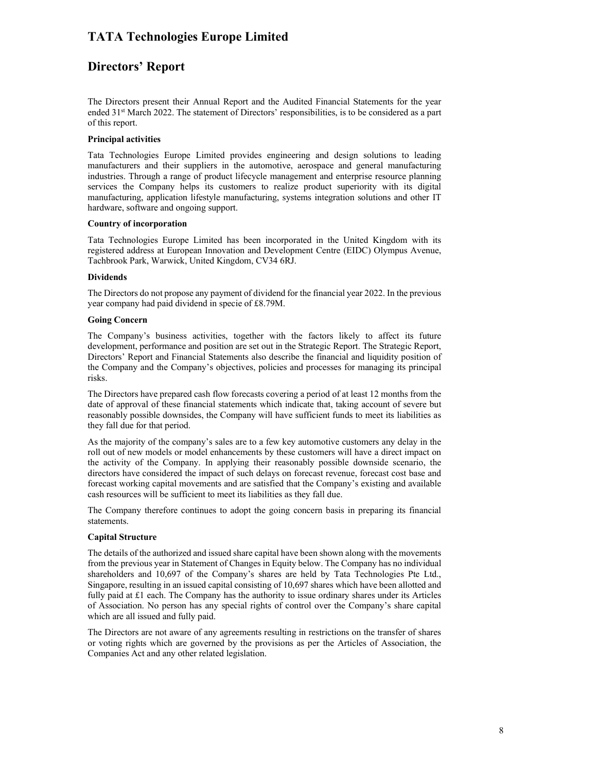## Directors' Report

The Directors present their Annual Report and the Audited Financial Statements for the year ended 31st March 2022. The statement of Directors' responsibilities, is to be considered as a part of this report.

#### Principal activities

Tata Technologies Europe Limited provides engineering and design solutions to leading manufacturers and their suppliers in the automotive, aerospace and general manufacturing industries. Through a range of product lifecycle management and enterprise resource planning services the Company helps its customers to realize product superiority with its digital manufacturing, application lifestyle manufacturing, systems integration solutions and other IT hardware, software and ongoing support.

#### Country of incorporation

Tata Technologies Europe Limited has been incorporated in the United Kingdom with its registered address at European Innovation and Development Centre (EIDC) Olympus Avenue, Tachbrook Park, Warwick, United Kingdom, CV34 6RJ.

#### Dividends

The Directors do not propose any payment of dividend for the financial year 2022. In the previous year company had paid dividend in specie of £8.79M.

#### Going Concern

The Company's business activities, together with the factors likely to affect its future development, performance and position are set out in the Strategic Report. The Strategic Report, Directors' Report and Financial Statements also describe the financial and liquidity position of the Company and the Company's objectives, policies and processes for managing its principal risks.

The Directors have prepared cash flow forecasts covering a period of at least 12 months from the date of approval of these financial statements which indicate that, taking account of severe but reasonably possible downsides, the Company will have sufficient funds to meet its liabilities as they fall due for that period.

As the majority of the company's sales are to a few key automotive customers any delay in the roll out of new models or model enhancements by these customers will have a direct impact on the activity of the Company. In applying their reasonably possible downside scenario, the directors have considered the impact of such delays on forecast revenue, forecast cost base and forecast working capital movements and are satisfied that the Company's existing and available cash resources will be sufficient to meet its liabilities as they fall due.

The Company therefore continues to adopt the going concern basis in preparing its financial statements.

#### Capital Structure

The details of the authorized and issued share capital have been shown along with the movements from the previous year in Statement of Changes in Equity below. The Company has no individual shareholders and 10,697 of the Company's shares are held by Tata Technologies Pte Ltd., Singapore, resulting in an issued capital consisting of 10,697 shares which have been allotted and fully paid at  $£1$  each. The Company has the authority to issue ordinary shares under its Articles of Association. No person has any special rights of control over the Company's share capital which are all issued and fully paid.

The Directors are not aware of any agreements resulting in restrictions on the transfer of shares or voting rights which are governed by the provisions as per the Articles of Association, the Companies Act and any other related legislation.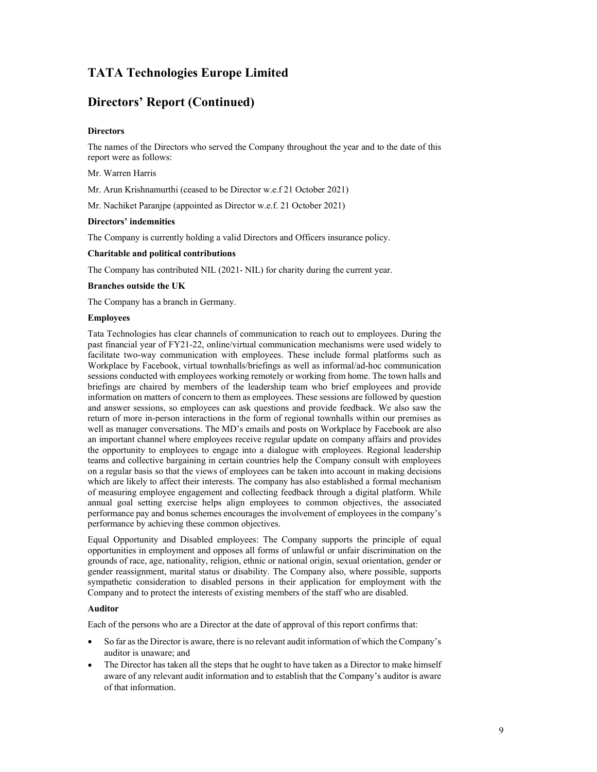## Directors' Report (Continued)

#### **Directors**

The names of the Directors who served the Company throughout the year and to the date of this report were as follows:

Mr. Warren Harris

Mr. Arun Krishnamurthi (ceased to be Director w.e.f 21 October 2021)

Mr. Nachiket Paranjpe (appointed as Director w.e.f. 21 October 2021)

#### Directors' indemnities

The Company is currently holding a valid Directors and Officers insurance policy.

#### Charitable and political contributions

The Company has contributed NIL (2021- NIL) for charity during the current year.

#### Branches outside the UK

The Company has a branch in Germany.

#### Employees

Tata Technologies has clear channels of communication to reach out to employees. During the past financial year of FY21-22, online/virtual communication mechanisms were used widely to facilitate two-way communication with employees. These include formal platforms such as Workplace by Facebook, virtual townhalls/briefings as well as informal/ad-hoc communication sessions conducted with employees working remotely or working from home. The town halls and briefings are chaired by members of the leadership team who brief employees and provide information on matters of concern to them as employees. These sessions are followed by question and answer sessions, so employees can ask questions and provide feedback. We also saw the return of more in-person interactions in the form of regional townhalls within our premises as well as manager conversations. The MD's emails and posts on Workplace by Facebook are also an important channel where employees receive regular update on company affairs and provides the opportunity to employees to engage into a dialogue with employees. Regional leadership teams and collective bargaining in certain countries help the Company consult with employees on a regular basis so that the views of employees can be taken into account in making decisions which are likely to affect their interests. The company has also established a formal mechanism of measuring employee engagement and collecting feedback through a digital platform. While annual goal setting exercise helps align employees to common objectives, the associated performance pay and bonus schemes encourages the involvement of employees in the company's performance by achieving these common objectives.

Equal Opportunity and Disabled employees: The Company supports the principle of equal opportunities in employment and opposes all forms of unlawful or unfair discrimination on the grounds of race, age, nationality, religion, ethnic or national origin, sexual orientation, gender or gender reassignment, marital status or disability. The Company also, where possible, supports sympathetic consideration to disabled persons in their application for employment with the Company and to protect the interests of existing members of the staff who are disabled.

#### Auditor

Each of the persons who are a Director at the date of approval of this report confirms that:

- So far as the Director is aware, there is no relevant audit information of which the Company's auditor is unaware; and
- The Director has taken all the steps that he ought to have taken as a Director to make himself aware of any relevant audit information and to establish that the Company's auditor is aware of that information.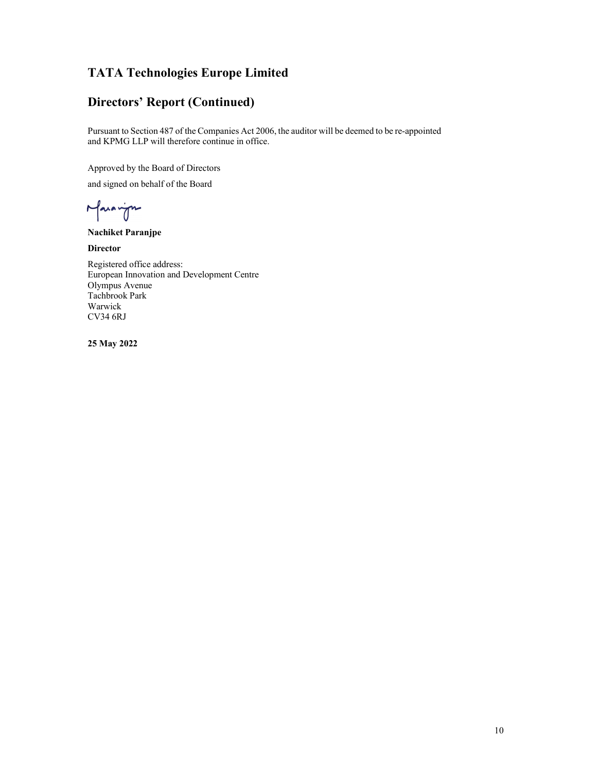TATA Technologies Europe Limited<br>Directors' Report (Continued)<br>Pursuant to Section 487 of the Companies Act 2006, the auditor will be deemed to be re-appointed<br>and KPMG LLP will therefore continue in office. Pursuant to Section 487 of the Companies Act 2006, the auditor will be deemed to be re-appointed and KPMG LLP will therefore continue in office.

Approved by the Board of Directors

and signed on behalf of the Board

Nachiket Paranjpe

**Director** 

TATA Technologies Europe Limited<br>Directors' Report (Continued)<br>Pursuant to Section 487 of the Companies Act 2006, the auditor will be deemed to be re-appointed<br>and KPMG LLP will therefore continue in office.<br>Approved by th European Innovation and Development Centre Olympus Avenue Tachbrook Park Warwick CV34 6RJ Directors' Report (Continued)<br>
Pursuant to Section 487 of the Companies Act 2006, the auditor will be deemed to be re-appointed<br>
and KPMG LLP will therefore continue in office.<br>
Approved by the Board of Directors<br>
and sign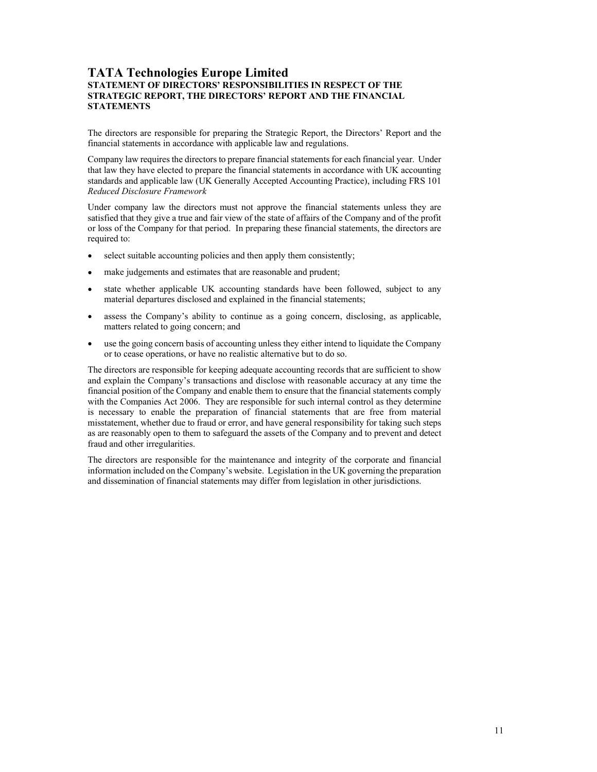#### TATA Technologies Europe Limited STATEMENT OF DIRECTORS' RESPONSIBILITIES IN RESPECT OF THE STRATEGIC REPORT, THE DIRECTORS' REPORT AND THE FINANCIAL **STATEMENTS**

The directors are responsible for preparing the Strategic Report, the Directors' Report and the financial statements in accordance with applicable law and regulations.

Company law requires the directors to prepare financial statements for each financial year. Under that law they have elected to prepare the financial statements in accordance with UK accounting standards and applicable law (UK Generally Accepted Accounting Practice), including FRS 101 Reduced Disclosure Framework<br>Under company law the directors must not approve the financial statements unless they are

satisfied that they give a true and fair view of the state of affairs of the Company and of the profit or loss of the Company for that period. In preparing these financial statements, the directors are required to:

- $\bullet$ select suitable accounting policies and then apply them consistently;
- make judgements and estimates that are reasonable and prudent;
- state whether applicable UK accounting standards have been followed, subject to any material departures disclosed and explained in the financial statements;
- assess the Company's ability to continue as a going concern, disclosing, as applicable, matters related to going concern; and
- use the going concern basis of accounting unless they either intend to liquidate the Company or to cease operations, or have no realistic alternative but to do so.

The directors are responsible for keeping adequate accounting records that are sufficient to show and explain the Company's transactions and disclose with reasonable accuracy at any time the financial position of the Company and enable them to ensure that the financial statements comply with the Companies Act 2006. They are responsible for such internal control as they determine is necessary to enable the preparation of financial statements that are free from material misstatement, whether due to fraud or error, and have general responsibility for taking such steps as are reasonably open to them to safeguard the assets of the Company and to prevent and detect fraud and other irregularities.

The directors are responsible for the maintenance and integrity of the corporate and financial information included on the Company's website. Legislation in the UK governing the preparation and dissemination of financial statements may differ from legislation in other jurisdictions.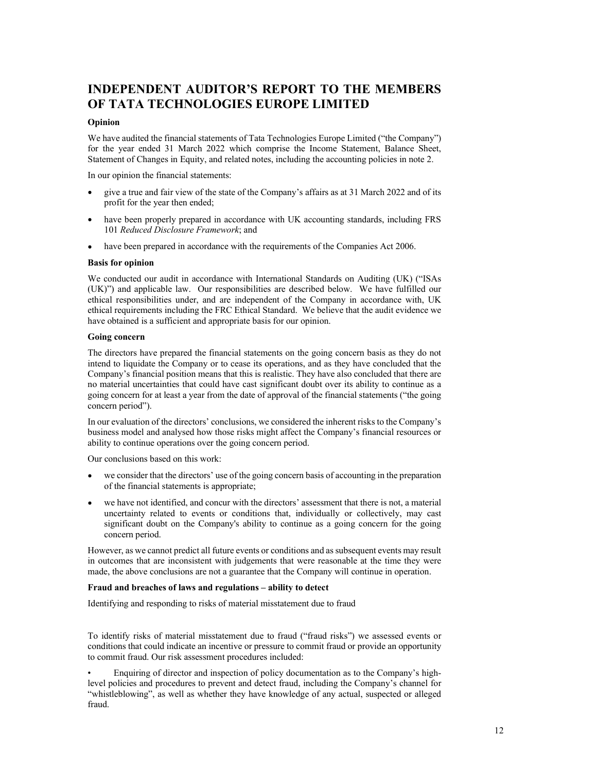# INDEPENDENT AUDITOR'S REPORT TO THE MEMBERS OF TATA TECHNOLOGIES EUROPE LIMITED

#### Opinion

We have audited the financial statements of Tata Technologies Europe Limited ("the Company") for the year ended 31 March 2022 which comprise the Income Statement, Balance Sheet, Statement of Changes in Equity, and related notes, including the accounting policies in note 2.

In our opinion the financial statements:

- give a true and fair view of the state of the Company's affairs as at 31 March 2022 and of its  $\bullet$ profit for the year then ended;
- have been properly prepared in accordance with UK accounting standards, including FRS 101 Reduced Disclosure Framework; and
- have been prepared in accordance with the requirements of the Companies Act 2006.

#### Basis for opinion

We conducted our audit in accordance with International Standards on Auditing (UK) ("ISAs (UK)") and applicable law. Our responsibilities are described below. We have fulfilled our ethical responsibilities under, and are independent of the Company in accordance with, UK ethical requirements including the FRC Ethical Standard. We believe that the audit evidence we have obtained is a sufficient and appropriate basis for our opinion.

#### Going concern

The directors have prepared the financial statements on the going concern basis as they do not intend to liquidate the Company or to cease its operations, and as they have concluded that the Company's financial position means that this is realistic. They have also concluded that there are no material uncertainties that could have cast significant doubt over its ability to continue as a going concern for at least a year from the date of approval of the financial statements ("the going concern period").

In our evaluation of the directors' conclusions, we considered the inherent risks to the Company's business model and analysed how those risks might affect the Company's financial resources or ability to continue operations over the going concern period.

Our conclusions based on this work:

- we consider that the directors' use of the going concern basis of accounting in the preparation of the financial statements is appropriate;
- we have not identified, and concur with the directors' assessment that there is not, a material uncertainty related to events or conditions that, individually or collectively, may cast significant doubt on the Company's ability to continue as a going concern for the going concern period.

However, as we cannot predict all future events or conditions and as subsequent events may result in outcomes that are inconsistent with judgements that were reasonable at the time they were made, the above conclusions are not a guarantee that the Company will continue in operation.

#### Fraud and breaches of laws and regulations – ability to detect

Identifying and responding to risks of material misstatement due to fraud

To identify risks of material misstatement due to fraud ("fraud risks") we assessed events or conditions that could indicate an incentive or pressure to commit fraud or provide an opportunity to commit fraud. Our risk assessment procedures included:

• Enquiring of director and inspection of policy documentation as to the Company's highlevel policies and procedures to prevent and detect fraud, including the Company's channel for "whistleblowing", as well as whether they have knowledge of any actual, suspected or alleged fraud.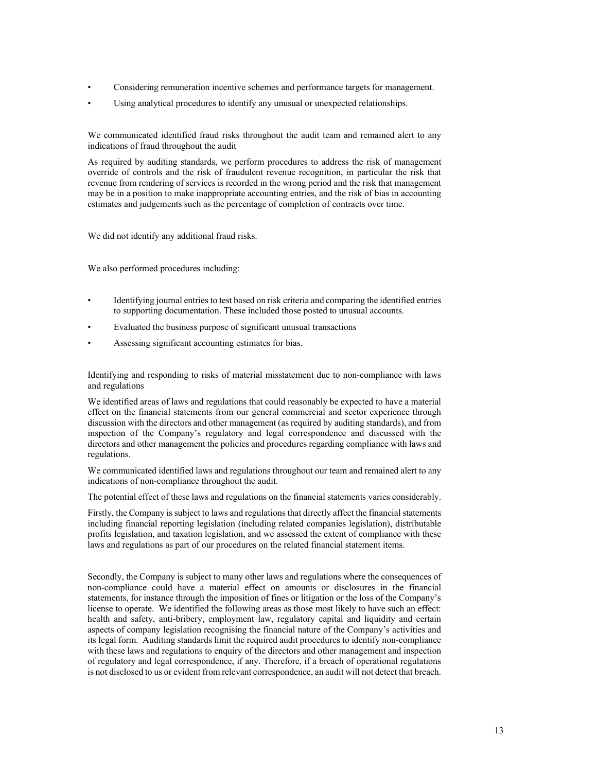- Considering remuneration incentive schemes and performance targets for management.
- Using analytical procedures to identify any unusual or unexpected relationships.

We communicated identified fraud risks throughout the audit team and remained alert to any indications of fraud throughout the audit

As required by auditing standards, we perform procedures to address the risk of management override of controls and the risk of fraudulent revenue recognition, in particular the risk that revenue from rendering of services is recorded in the wrong period and the risk that management may be in a position to make inappropriate accounting entries, and the risk of bias in accounting estimates and judgements such as the percentage of completion of contracts over time.

We did not identify any additional fraud risks.

We also performed procedures including:

- Identifying journal entries to test based on risk criteria and comparing the identified entries to supporting documentation. These included those posted to unusual accounts.
- Evaluated the business purpose of significant unusual transactions
- Assessing significant accounting estimates for bias.

Identifying and responding to risks of material misstatement due to non-compliance with laws and regulations

We identified areas of laws and regulations that could reasonably be expected to have a material effect on the financial statements from our general commercial and sector experience through discussion with the directors and other management (as required by auditing standards), and from inspection of the Company's regulatory and legal correspondence and discussed with the directors and other management the policies and procedures regarding compliance with laws and regulations.

We communicated identified laws and regulations throughout our team and remained alert to any indications of non-compliance throughout the audit.

The potential effect of these laws and regulations on the financial statements varies considerably.

Firstly, the Company is subject to laws and regulations that directly affect the financial statements including financial reporting legislation (including related companies legislation), distributable profits legislation, and taxation legislation, and we assessed the extent of compliance with these laws and regulations as part of our procedures on the related financial statement items.

Secondly, the Company is subject to many other laws and regulations where the consequences of non-compliance could have a material effect on amounts or disclosures in the financial statements, for instance through the imposition of fines or litigation or the loss of the Company's license to operate. We identified the following areas as those most likely to have such an effect: health and safety, anti-bribery, employment law, regulatory capital and liquidity and certain aspects of company legislation recognising the financial nature of the Company's activities and its legal form. Auditing standards limit the required audit procedures to identify non-compliance with these laws and regulations to enquiry of the directors and other management and inspection of regulatory and legal correspondence, if any. Therefore, if a breach of operational regulations is not disclosed to us or evident from relevant correspondence, an audit will not detect that breach.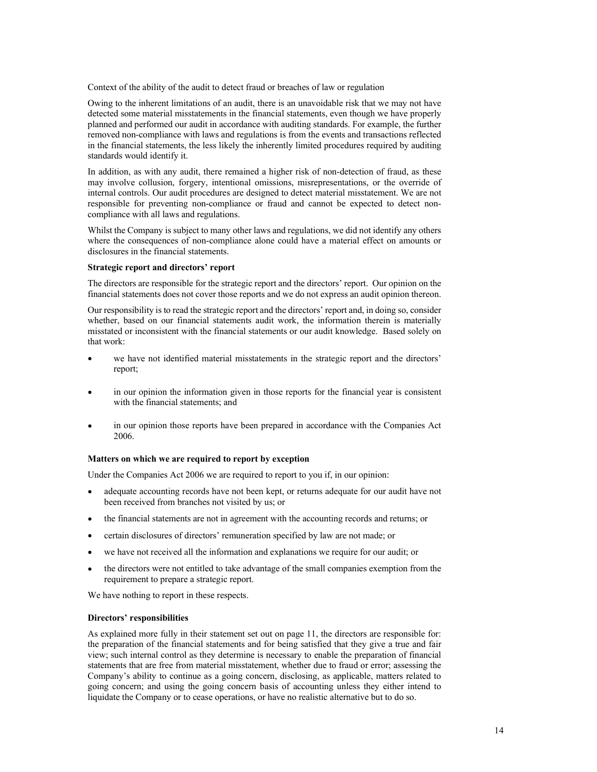Context of the ability of the audit to detect fraud or breaches of law or regulation

Owing to the inherent limitations of an audit, there is an unavoidable risk that we may not have detected some material misstatements in the financial statements, even though we have properly planned and performed our audit in accordance with auditing standards. For example, the further removed non-compliance with laws and regulations is from the events and transactions reflected in the financial statements, the less likely the inherently limited procedures required by auditing standards would identify it.

In addition, as with any audit, there remained a higher risk of non-detection of fraud, as these may involve collusion, forgery, intentional omissions, misrepresentations, or the override of internal controls. Our audit procedures are designed to detect material misstatement. We are not responsible for preventing non-compliance or fraud and cannot be expected to detect noncompliance with all laws and regulations.

Whilst the Company is subject to many other laws and regulations, we did not identify any others where the consequences of non-compliance alone could have a material effect on amounts or disclosures in the financial statements.

#### Strategic report and directors' report

The directors are responsible for the strategic report and the directors' report. Our opinion on the financial statements does not cover those reports and we do not express an audit opinion thereon.

Our responsibility is to read the strategic report and the directors' report and, in doing so, consider whether, based on our financial statements audit work, the information therein is materially misstated or inconsistent with the financial statements or our audit knowledge. Based solely on that work:

- we have not identified material misstatements in the strategic report and the directors'  $\bullet$ report;
- in our opinion the information given in those reports for the financial year is consistent with the financial statements; and
- in our opinion those reports have been prepared in accordance with the Companies Act 2006.

#### Matters on which we are required to report by exception

Under the Companies Act 2006 we are required to report to you if, in our opinion:

- adequate accounting records have not been kept, or returns adequate for our audit have not been received from branches not visited by us; or
- $\bullet$ the financial statements are not in agreement with the accounting records and returns; or
- certain disclosures of directors' remuneration specified by law are not made; or
- we have not received all the information and explanations we require for our audit; or
- the directors were not entitled to take advantage of the small companies exemption from the requirement to prepare a strategic report.

We have nothing to report in these respects.

#### Directors' responsibilities

As explained more fully in their statement set out on page 11, the directors are responsible for: the preparation of the financial statements and for being satisfied that they give a true and fair view; such internal control as they determine is necessary to enable the preparation of financial statements that are free from material misstatement, whether due to fraud or error; assessing the Company's ability to continue as a going concern, disclosing, as applicable, matters related to going concern; and using the going concern basis of accounting unless they either intend to liquidate the Company or to cease operations, or have no realistic alternative but to do so.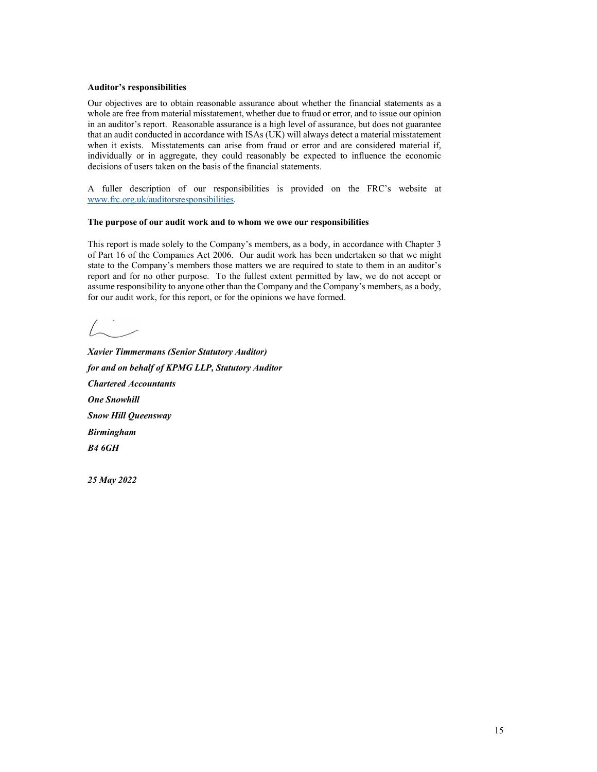#### Auditor's responsibilities

Our objectives are to obtain reasonable assurance about whether the financial statements as a whole are free from material misstatement, whether due to fraud or error, and to issue our opinion in an auditor's report. Reasonable assurance is a high level of assurance, but does not guarantee that an audit conducted in accordance with ISAs (UK) will always detect a material misstatement when it exists. Misstatements can arise from fraud or error and are considered material if, individually or in aggregate, they could reasonably be expected to influence the economic decisions of users taken on the basis of the financial statements. Auditor's responsibilities<br>Our objectives are to obtain reasonable assurance about whether the financial statements as a<br>whole are free from material missiatement, whether due to fraid or error, and to issue curopiration<br> Auditor's responsibilities<br>Our objectives are to obtain reasonable assurance about whether the financial statements as a<br>Our objectives are to obtain masstachenes, whether due to finance of a assume our option<br>that an aud

A fuller description of our responsibilities is provided on the FRC's website at www.frc.org.uk/auditorsresponsibilities.

#### The purpose of our audit work and to whom we owe our responsibilities

This report is made solely to the Company's members, as a body, in accordance with Chapter 3 of Part 16 of the Companies Act 2006. Our audit work has been undertaken so that we might state to the Company's members those matters we are required to state to them in an auditor's for our audit work, for this report, or for the opinions we have formed. This report is made solely to the Company's members, as a body, in accordance with Chapter of Part 16 of the Companis Act 2006. Our audit work has been undertaken so that we might<br>state to the Company's members those matt

Xavier Timmermans (Senior Statutory Auditor) for and on behalf of KPMG LLP, Statutory Auditor Chartered Accountants One Snowhill Snow Hill Queensway Birmingham B4 6GH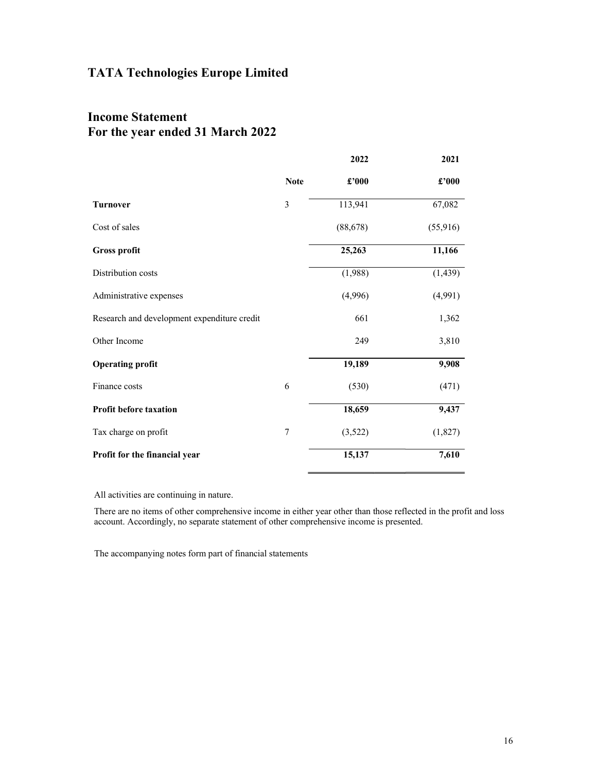# Income Statement For the year ended 31 March 2022

|                                             |             | 2022      | 2021                             |
|---------------------------------------------|-------------|-----------|----------------------------------|
|                                             | <b>Note</b> | £'000     | $\pmb{\pounds}^{\pmb{\cdot}}000$ |
| <b>Turnover</b>                             | 3           | 113,941   | 67,082                           |
| Cost of sales                               |             | (88, 678) | (55, 916)                        |
| <b>Gross profit</b>                         |             | 25,263    | 11,166                           |
| Distribution costs                          |             | (1,988)   | (1, 439)                         |
| Administrative expenses                     |             | (4,996)   | (4,991)                          |
| Research and development expenditure credit |             | 661       | 1,362                            |
| Other Income                                |             | 249       | 3,810                            |
| <b>Operating profit</b>                     |             | 19,189    | 9,908                            |
| Finance costs                               | 6           | (530)     | (471)                            |
| Profit before taxation                      |             | 18,659    | 9,437                            |
| Tax charge on profit                        | 7           | (3,522)   | (1,827)                          |
| Profit for the financial year               |             | 15,137    | 7,610                            |
|                                             |             |           |                                  |

All activities are continuing in nature.

There are no items of other comprehensive income in either year other than those reflected in the profit and loss account. Accordingly, no separate statement of other comprehensive income is presented.

The accompanying notes form part of financial statements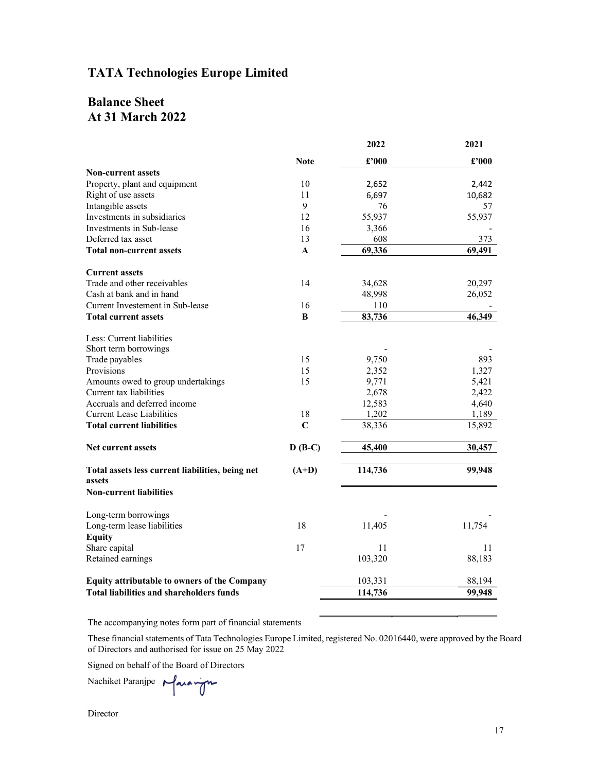# Balance Sheet At 31 March 2022

| <b>TATA Technologies Europe Limited</b> |                                                                                                                                                                                     |                                                                                                                                                                                                                                                       |
|-----------------------------------------|-------------------------------------------------------------------------------------------------------------------------------------------------------------------------------------|-------------------------------------------------------------------------------------------------------------------------------------------------------------------------------------------------------------------------------------------------------|
|                                         |                                                                                                                                                                                     |                                                                                                                                                                                                                                                       |
|                                         |                                                                                                                                                                                     |                                                                                                                                                                                                                                                       |
|                                         |                                                                                                                                                                                     |                                                                                                                                                                                                                                                       |
|                                         |                                                                                                                                                                                     |                                                                                                                                                                                                                                                       |
|                                         |                                                                                                                                                                                     |                                                                                                                                                                                                                                                       |
|                                         |                                                                                                                                                                                     |                                                                                                                                                                                                                                                       |
|                                         |                                                                                                                                                                                     |                                                                                                                                                                                                                                                       |
|                                         |                                                                                                                                                                                     |                                                                                                                                                                                                                                                       |
|                                         |                                                                                                                                                                                     |                                                                                                                                                                                                                                                       |
|                                         |                                                                                                                                                                                     |                                                                                                                                                                                                                                                       |
|                                         |                                                                                                                                                                                     | 2021                                                                                                                                                                                                                                                  |
|                                         |                                                                                                                                                                                     | $\pmb{\pounds}^{\bullet}000$                                                                                                                                                                                                                          |
|                                         |                                                                                                                                                                                     |                                                                                                                                                                                                                                                       |
| 10                                      | 2,652                                                                                                                                                                               | 2,442                                                                                                                                                                                                                                                 |
| 11                                      | 6,697                                                                                                                                                                               | 10,682                                                                                                                                                                                                                                                |
|                                         |                                                                                                                                                                                     | 57                                                                                                                                                                                                                                                    |
|                                         |                                                                                                                                                                                     | 55,937                                                                                                                                                                                                                                                |
| 13                                      | 608                                                                                                                                                                                 | 373                                                                                                                                                                                                                                                   |
| A                                       | 69,336                                                                                                                                                                              | 69,491                                                                                                                                                                                                                                                |
|                                         |                                                                                                                                                                                     |                                                                                                                                                                                                                                                       |
|                                         |                                                                                                                                                                                     | 20,297                                                                                                                                                                                                                                                |
|                                         | 48,998                                                                                                                                                                              | 26,052                                                                                                                                                                                                                                                |
| 16                                      | 110                                                                                                                                                                                 |                                                                                                                                                                                                                                                       |
| B                                       |                                                                                                                                                                                     | 46,349                                                                                                                                                                                                                                                |
|                                         |                                                                                                                                                                                     |                                                                                                                                                                                                                                                       |
|                                         |                                                                                                                                                                                     |                                                                                                                                                                                                                                                       |
|                                         |                                                                                                                                                                                     | 893                                                                                                                                                                                                                                                   |
|                                         |                                                                                                                                                                                     | 1,327                                                                                                                                                                                                                                                 |
|                                         |                                                                                                                                                                                     | 5,421<br>2,422                                                                                                                                                                                                                                        |
|                                         |                                                                                                                                                                                     | 4,640                                                                                                                                                                                                                                                 |
| 18                                      | 1,202                                                                                                                                                                               | 1,189                                                                                                                                                                                                                                                 |
| $\mathbf C$                             | 38,336                                                                                                                                                                              | 15,892                                                                                                                                                                                                                                                |
| $D(B-C)$                                | 45,400                                                                                                                                                                              | 30,457                                                                                                                                                                                                                                                |
|                                         |                                                                                                                                                                                     | 99,948                                                                                                                                                                                                                                                |
|                                         |                                                                                                                                                                                     |                                                                                                                                                                                                                                                       |
|                                         |                                                                                                                                                                                     |                                                                                                                                                                                                                                                       |
|                                         |                                                                                                                                                                                     |                                                                                                                                                                                                                                                       |
| 18                                      | 11,405                                                                                                                                                                              | 11,754                                                                                                                                                                                                                                                |
|                                         |                                                                                                                                                                                     |                                                                                                                                                                                                                                                       |
| 17                                      | 11                                                                                                                                                                                  | 11                                                                                                                                                                                                                                                    |
|                                         |                                                                                                                                                                                     | 88,183                                                                                                                                                                                                                                                |
|                                         | 103,331                                                                                                                                                                             | 88,194                                                                                                                                                                                                                                                |
|                                         | 114,736                                                                                                                                                                             | 99,948                                                                                                                                                                                                                                                |
|                                         |                                                                                                                                                                                     |                                                                                                                                                                                                                                                       |
|                                         |                                                                                                                                                                                     |                                                                                                                                                                                                                                                       |
|                                         |                                                                                                                                                                                     |                                                                                                                                                                                                                                                       |
|                                         |                                                                                                                                                                                     |                                                                                                                                                                                                                                                       |
|                                         |                                                                                                                                                                                     |                                                                                                                                                                                                                                                       |
|                                         | <b>Note</b><br>9<br>12<br>16<br>14<br>15<br>15<br>15<br>$(A+D)$<br>The accompanying notes form part of financial statements<br>of Directors and authorised for issue on 25 May 2022 | 2022<br>£'000<br>76<br>55,937<br>3,366<br>34,628<br>83,736<br>9,750<br>2,352<br>9,771<br>2,678<br>12,583<br>114,736<br>103,320<br>These financial statements of Tata Technologies Europe Limited, registered No. 02016440, were approved by the Board |

Director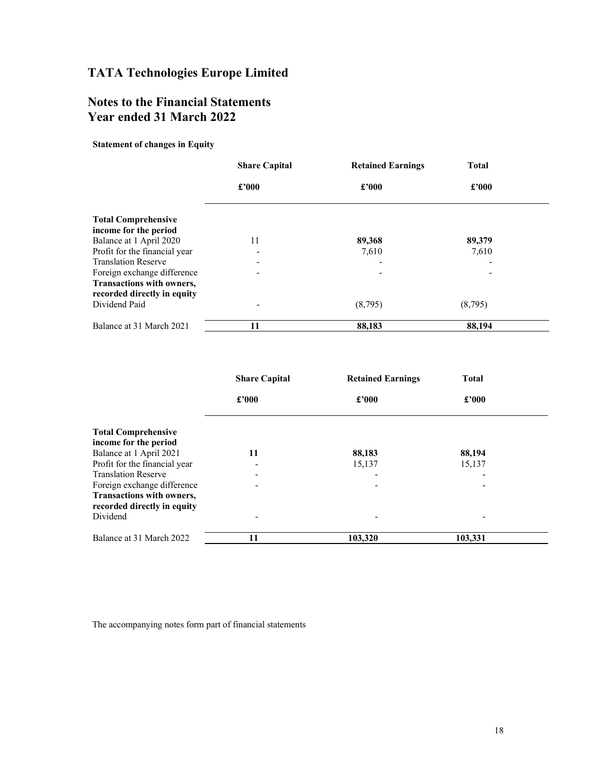# Notes to the Financial Statements Year ended 31 March 2022

Statement of changes in Equity

|                                                          | <b>Share Capital</b>     | <b>Retained Earnings</b> | <b>Total</b> |
|----------------------------------------------------------|--------------------------|--------------------------|--------------|
|                                                          | £'000                    | £2000                    | £'000        |
| <b>Total Comprehensive</b>                               |                          |                          |              |
| income for the period                                    |                          |                          |              |
| Balance at 1 April 2020                                  | 11                       | 89,368                   | 89,379       |
| Profit for the financial year                            | $\overline{\phantom{0}}$ | 7,610                    | 7,610        |
| <b>Translation Reserve</b>                               | $\overline{\phantom{a}}$ |                          |              |
| Foreign exchange difference                              | -                        |                          |              |
| Transactions with owners,<br>recorded directly in equity |                          |                          |              |
| Dividend Paid                                            | $\overline{\phantom{0}}$ | (8,795)                  | (8,795)      |
| Balance at 31 March 2021                                 | 11                       | 88,183                   | 88,194       |

|                               | <b>Share Capital</b>     | <b>Retained Earnings</b> | <b>Total</b>             |
|-------------------------------|--------------------------|--------------------------|--------------------------|
|                               | £'000                    | £'000                    | £'000                    |
| <b>Total Comprehensive</b>    |                          |                          |                          |
| income for the period         |                          |                          |                          |
| Balance at 1 April 2021       | 11                       | 88,183                   | 88,194                   |
| Profit for the financial year | $\overline{\phantom{0}}$ | 15,137                   | 15,137                   |
| <b>Translation Reserve</b>    | $\overline{\phantom{a}}$ |                          | ۰                        |
| Foreign exchange difference   | $\overline{\phantom{a}}$ |                          | $\overline{\phantom{a}}$ |
| Transactions with owners,     |                          |                          |                          |
| recorded directly in equity   |                          |                          |                          |
| Dividend                      | -                        |                          | $\overline{\phantom{0}}$ |
| Balance at 31 March 2022      | 11                       | 103,320                  | 103,331                  |

The accompanying notes form part of financial statements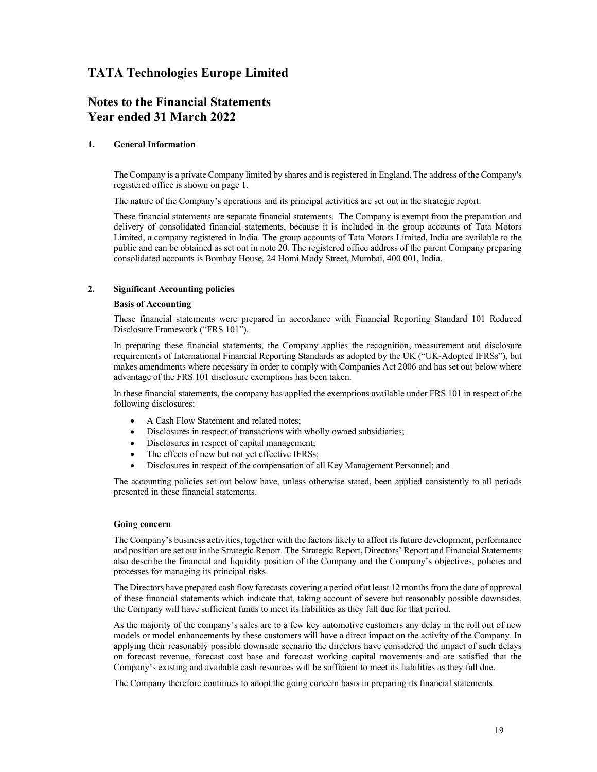# Notes to the Financial Statements Year ended 31 March 2022

#### 1. General Information

The Company is a private Company limited by shares and is registered in England. The address of the Company's registered office is shown on page 1.

The nature of the Company's operations and its principal activities are set out in the strategic report.

These financial statements are separate financial statements. The Company is exempt from the preparation and delivery of consolidated financial statements, because it is included in the group accounts of Tata Motors Limited, a company registered in India. The group accounts of Tata Motors Limited, India are available to the public and can be obtained as set out in note 20. The registered office address of the parent Company preparing consolidated accounts is Bombay House, 24 Homi Mody Street, Mumbai, 400 001, India.

#### 2. Significant Accounting policies

#### Basis of Accounting

These financial statements were prepared in accordance with Financial Reporting Standard 101 Reduced Disclosure Framework ("FRS 101").

In preparing these financial statements, the Company applies the recognition, measurement and disclosure requirements of International Financial Reporting Standards as adopted by the UK ("UK-Adopted IFRSs"), but makes amendments where necessary in order to comply with Companies Act 2006 and has set out below where advantage of the FRS 101 disclosure exemptions has been taken.

In these financial statements, the company has applied the exemptions available under FRS 101 in respect of the following disclosures:

- A Cash Flow Statement and related notes;  $\bullet$
- Disclosures in respect of transactions with wholly owned subsidiaries;
- Disclosures in respect of capital management;  $\bullet$
- The effects of new but not yet effective IFRSs;  $\bullet$
- Disclosures in respect of the compensation of all Key Management Personnel; and

The accounting policies set out below have, unless otherwise stated, been applied consistently to all periods presented in these financial statements.

#### Going concern

The Company's business activities, together with the factors likely to affect its future development, performance and position are set out in the Strategic Report. The Strategic Report, Directors' Report and Financial Statements also describe the financial and liquidity position of the Company and the Company's objectives, policies and processes for managing its principal risks.

The Directors have prepared cash flow forecasts covering a period of at least 12 months from the date of approval of these financial statements which indicate that, taking account of severe but reasonably possible downsides, the Company will have sufficient funds to meet its liabilities as they fall due for that period.

As the majority of the company's sales are to a few key automotive customers any delay in the roll out of new models or model enhancements by these customers will have a direct impact on the activity of the Company. In applying their reasonably possible downside scenario the directors have considered the impact of such delays on forecast revenue, forecast cost base and forecast working capital movements and are satisfied that the Company's existing and available cash resources will be sufficient to meet its liabilities as they fall due.

The Company therefore continues to adopt the going concern basis in preparing its financial statements.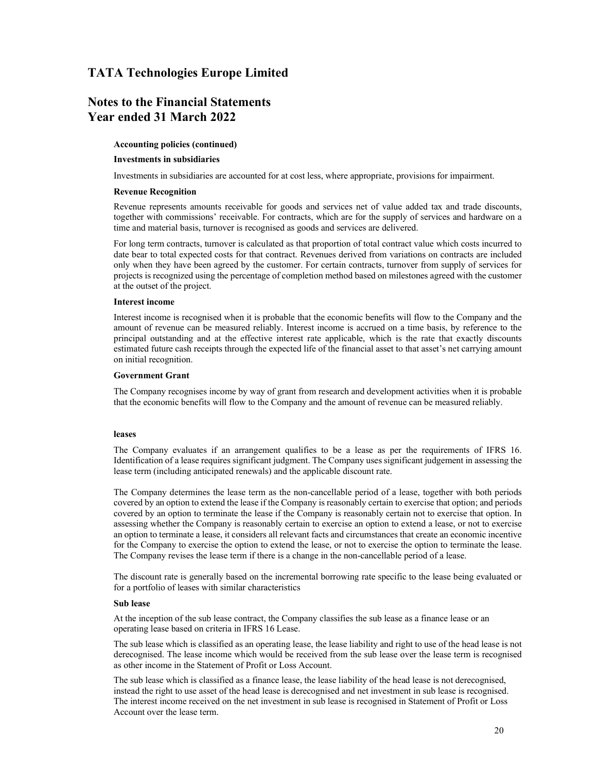## Notes to the Financial Statements Year ended 31 March 2022

#### Accounting policies (continued)

#### Investments in subsidiaries

Investments in subsidiaries are accounted for at cost less, where appropriate, provisions for impairment.

#### Revenue Recognition

Revenue represents amounts receivable for goods and services net of value added tax and trade discounts, together with commissions' receivable. For contracts, which are for the supply of services and hardware on a time and material basis, turnover is recognised as goods and services are delivered.

For long term contracts, turnover is calculated as that proportion of total contract value which costs incurred to date bear to total expected costs for that contract. Revenues derived from variations on contracts are included only when they have been agreed by the customer. For certain contracts, turnover from supply of services for projects is recognized using the percentage of completion method based on milestones agreed with the customer at the outset of the project.

#### Interest income

Interest income is recognised when it is probable that the economic benefits will flow to the Company and the amount of revenue can be measured reliably. Interest income is accrued on a time basis, by reference to the principal outstanding and at the effective interest rate applicable, which is the rate that exactly discounts estimated future cash receipts through the expected life of the financial asset to that asset's net carrying amount on initial recognition.

#### Government Grant

The Company recognises income by way of grant from research and development activities when it is probable that the economic benefits will flow to the Company and the amount of revenue can be measured reliably.

#### leases

The Company evaluates if an arrangement qualifies to be a lease as per the requirements of IFRS 16. Identification of a lease requires significant judgment. The Company uses significant judgement in assessing the lease term (including anticipated renewals) and the applicable discount rate.

The Company determines the lease term as the non-cancellable period of a lease, together with both periods covered by an option to extend the lease if the Company is reasonably certain to exercise that option; and periods covered by an option to terminate the lease if the Company is reasonably certain not to exercise that option. In assessing whether the Company is reasonably certain to exercise an option to extend a lease, or not to exercise an option to terminate a lease, it considers all relevant facts and circumstances that create an economic incentive for the Company to exercise the option to extend the lease, or not to exercise the option to terminate the lease. The Company revises the lease term if there is a change in the non-cancellable period of a lease.

The discount rate is generally based on the incremental borrowing rate specific to the lease being evaluated or for a portfolio of leases with similar characteristics

#### Sub lease

At the inception of the sub lease contract, the Company classifies the sub lease as a finance lease or an operating lease based on criteria in IFRS 16 Lease.

The sub lease which is classified as an operating lease, the lease liability and right to use of the head lease is not derecognised. The lease income which would be received from the sub lease over the lease term is recognised as other income in the Statement of Profit or Loss Account.

The sub lease which is classified as a finance lease, the lease liability of the head lease is not derecognised, instead the right to use asset of the head lease is derecognised and net investment in sub lease is recognised. The interest income received on the net investment in sub lease is recognised in Statement of Profit or Loss Account over the lease term.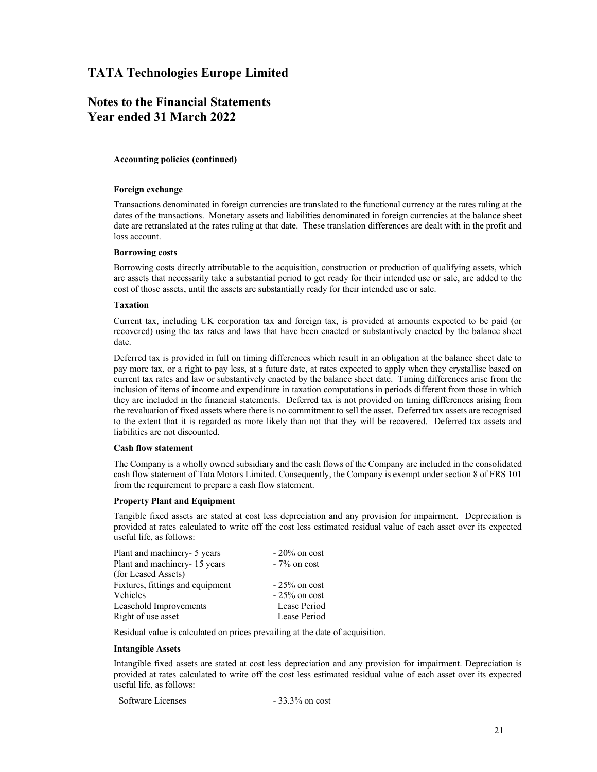# Notes to the Financial Statements Year ended 31 March 2022

#### Accounting policies (continued)

#### Foreign exchange

Transactions denominated in foreign currencies are translated to the functional currency at the rates ruling at the dates of the transactions. Monetary assets and liabilities denominated in foreign currencies at the balance sheet date are retranslated at the rates ruling at that date. These translation differences are dealt with in the profit and loss account.

#### Borrowing costs

Borrowing costs directly attributable to the acquisition, construction or production of qualifying assets, which are assets that necessarily take a substantial period to get ready for their intended use or sale, are added to the cost of those assets, until the assets are substantially ready for their intended use or sale.

#### Taxation

Current tax, including UK corporation tax and foreign tax, is provided at amounts expected to be paid (or recovered) using the tax rates and laws that have been enacted or substantively enacted by the balance sheet date.

Deferred tax is provided in full on timing differences which result in an obligation at the balance sheet date to pay more tax, or a right to pay less, at a future date, at rates expected to apply when they crystallise based on current tax rates and law or substantively enacted by the balance sheet date. Timing differences arise from the inclusion of items of income and expenditure in taxation computations in periods different from those in which they are included in the financial statements. Deferred tax is not provided on timing differences arising from the revaluation of fixed assets where there is no commitment to sell the asset. Deferred tax assets are recognised to the extent that it is regarded as more likely than not that they will be recovered. Deferred tax assets and liabilities are not discounted.

#### Cash flow statement

The Company is a wholly owned subsidiary and the cash flows of the Company are included in the consolidated cash flow statement of Tata Motors Limited. Consequently, the Company is exempt under section 8 of FRS 101 from the requirement to prepare a cash flow statement.

#### Property Plant and Equipment

Tangible fixed assets are stated at cost less depreciation and any provision for impairment. Depreciation is provided at rates calculated to write off the cost less estimated residual value of each asset over its expected useful life, as follows:

| Plant and machinery- 5 years     | $-20\%$ on cost |  |
|----------------------------------|-----------------|--|
| Plant and machinery-15 years     | $-7\%$ on cost  |  |
| (for Leased Assets)              |                 |  |
| Fixtures, fittings and equipment | $-25\%$ on cost |  |
| <b>Vehicles</b>                  | $-25\%$ on cost |  |
| Leasehold Improvements           | Lease Period    |  |
| Right of use asset               | Lease Period    |  |
|                                  |                 |  |

Residual value is calculated on prices prevailing at the date of acquisition.

#### Intangible Assets

Intangible fixed assets are stated at cost less depreciation and any provision for impairment. Depreciation is provided at rates calculated to write off the cost less estimated residual value of each asset over its expected useful life, as follows:

| Software Licenses | $-33.3\%$ on cost |
|-------------------|-------------------|
|-------------------|-------------------|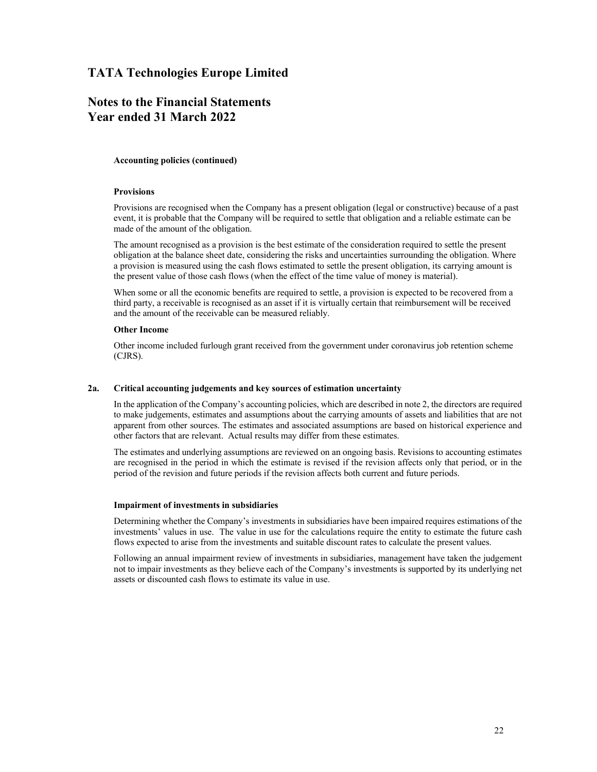# Notes to the Financial Statements Year ended 31 March 2022

#### Accounting policies (continued)

#### Provisions

Provisions are recognised when the Company has a present obligation (legal or constructive) because of a past event, it is probable that the Company will be required to settle that obligation and a reliable estimate can be made of the amount of the obligation.

The amount recognised as a provision is the best estimate of the consideration required to settle the present obligation at the balance sheet date, considering the risks and uncertainties surrounding the obligation. Where a provision is measured using the cash flows estimated to settle the present obligation, its carrying amount is the present value of those cash flows (when the effect of the time value of money is material).

When some or all the economic benefits are required to settle, a provision is expected to be recovered from a third party, a receivable is recognised as an asset if it is virtually certain that reimbursement will be received and the amount of the receivable can be measured reliably.

#### Other Income

Other income included furlough grant received from the government under coronavirus job retention scheme (CJRS).

#### 2a. Critical accounting judgements and key sources of estimation uncertainty

In the application of the Company's accounting policies, which are described in note 2, the directors are required to make judgements, estimates and assumptions about the carrying amounts of assets and liabilities that are not apparent from other sources. The estimates and associated assumptions are based on historical experience and other factors that are relevant. Actual results may differ from these estimates.

The estimates and underlying assumptions are reviewed on an ongoing basis. Revisions to accounting estimates are recognised in the period in which the estimate is revised if the revision affects only that period, or in the period of the revision and future periods if the revision affects both current and future periods.

#### Impairment of investments in subsidiaries

Determining whether the Company's investments in subsidiaries have been impaired requires estimations of the investments' values in use. The value in use for the calculations require the entity to estimate the future cash flows expected to arise from the investments and suitable discount rates to calculate the present values.

Following an annual impairment review of investments in subsidiaries, management have taken the judgement not to impair investments as they believe each of the Company's investments is supported by its underlying net assets or discounted cash flows to estimate its value in use.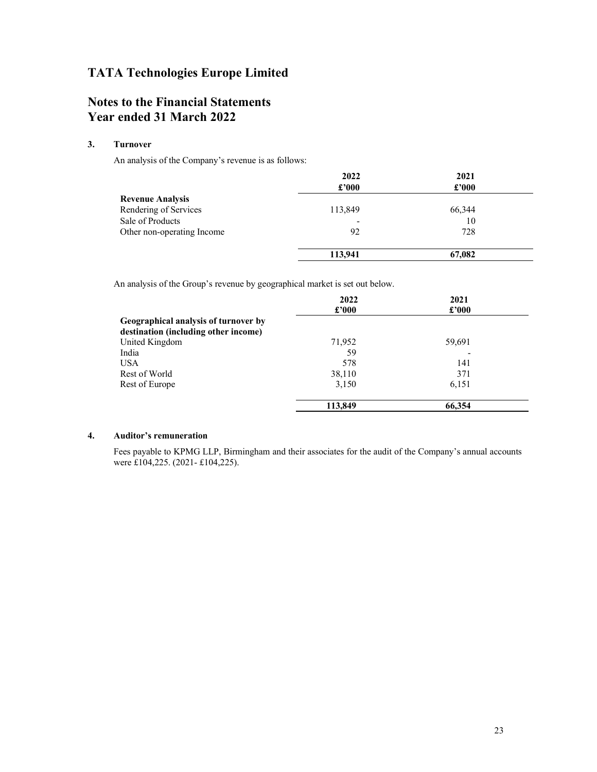# Notes to the Financial Statements Year ended 31 March 2022

### 3. Turnover

An analysis of the Company's revenue is as follows:

|                            | 2022                        | 2021           |  |
|----------------------------|-----------------------------|----------------|--|
|                            | $\pmb{\pounds}^{\prime}000$ | $\pounds$ '000 |  |
| <b>Revenue Analysis</b>    |                             |                |  |
| Rendering of Services      | 113,849                     | 66,344         |  |
| Sale of Products           | -                           | 10             |  |
| Other non-operating Income | 92                          | 728            |  |
|                            | 113,941                     | 67,082         |  |

An analysis of the Group's revenue by geographical market is set out below.

|                                      | 2022          | 2021           |
|--------------------------------------|---------------|----------------|
|                                      | $\pounds 000$ | $\pounds$ '000 |
| Geographical analysis of turnover by |               |                |
| destination (including other income) |               |                |
| United Kingdom                       | 71,952        | 59,691         |
| India                                | 59            |                |
| <b>USA</b>                           | 578           | 141            |
| Rest of World                        | 38,110        | 371            |
| Rest of Europe                       | 3,150         | 6,151          |
|                                      | 113,849       | 66,354         |

#### 4. Auditor's remuneration

Fees payable to KPMG LLP, Birmingham and their associates for the audit of the Company's annual accounts were £104,225. (2021- £104,225).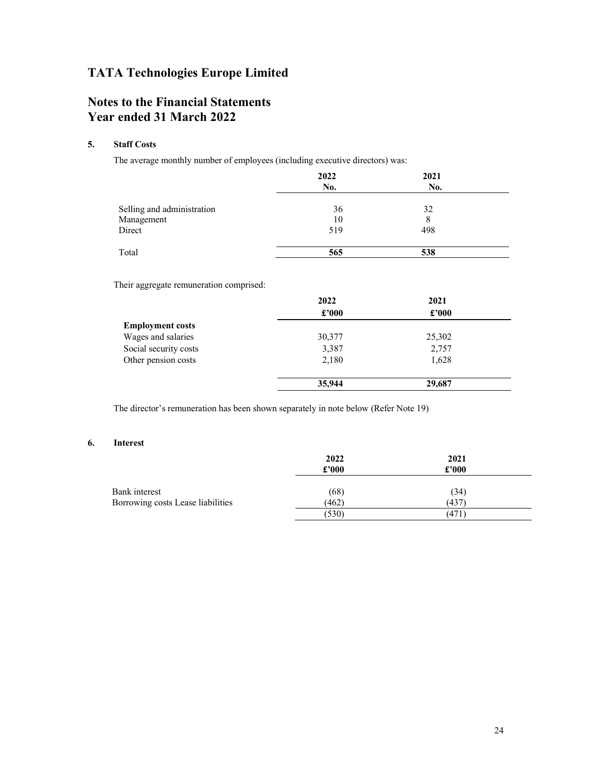# Notes to the Financial Statements Year ended 31 March 2022

#### 5. Staff Costs

The average monthly number of employees (including executive directors) was:

|                            | 2022<br>No. | 2021<br>No. |  |
|----------------------------|-------------|-------------|--|
| Selling and administration | 36          | 32          |  |
| Management                 | 10          | 8           |  |
| Direct                     | 519         | 498         |  |
| Total                      | 565         | 538         |  |

Their aggregate remuneration comprised:

|                         | 2022   | 2021           |  |
|-------------------------|--------|----------------|--|
|                         | £'000  | $\pounds$ '000 |  |
| <b>Employment costs</b> |        |                |  |
| Wages and salaries      | 30,377 | 25,302         |  |
| Social security costs   | 3,387  | 2,757          |  |
| Other pension costs     | 2,180  | 1,628          |  |
|                         | 35,944 | 29,687         |  |

The director's remuneration has been shown separately in note below (Refer Note 19)

#### 6. Interest

|                                   | 2022<br>£'000 | 2021<br>£'000 |  |
|-----------------------------------|---------------|---------------|--|
| Bank interest                     | (68)          | (34)          |  |
| Borrowing costs Lease liabilities | (462)         | (437)         |  |
|                                   | (530)         | (471)         |  |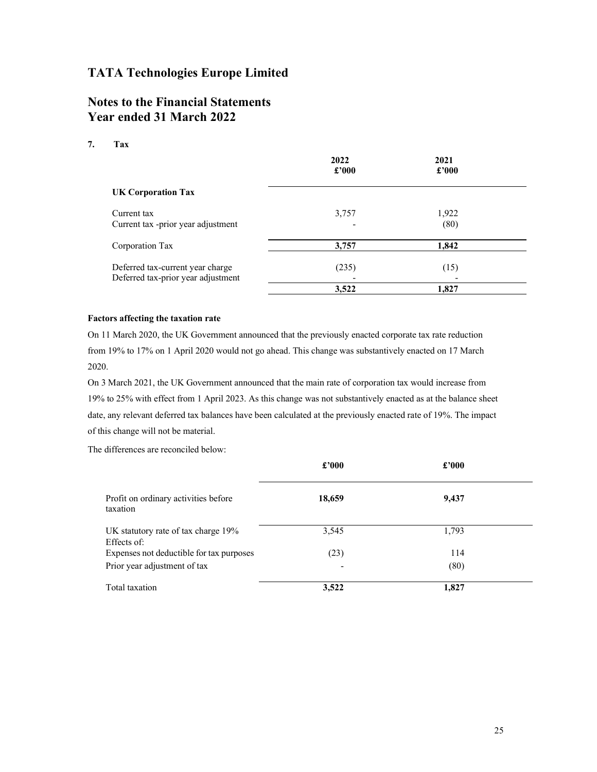# Notes to the Financial Statements Year ended 31 March 2022

#### 7. Tax

|                                                                        | 2022<br>$\pounds 000$             | 2021<br>£'000 |  |
|------------------------------------------------------------------------|-----------------------------------|---------------|--|
| <b>UK Corporation Tax</b>                                              |                                   |               |  |
| Current tax<br>Current tax -prior year adjustment                      | 3,757<br>$\overline{\phantom{a}}$ | 1,922<br>(80) |  |
| Corporation Tax                                                        | 3,757                             | 1,842         |  |
| Deferred tax-current year charge<br>Deferred tax-prior year adjustment | (235)                             | (15)          |  |
|                                                                        | 3,522                             | 1,827         |  |

#### Factors affecting the taxation rate

On 11 March 2020, the UK Government announced that the previously enacted corporate tax rate reduction from 19% to 17% on 1 April 2020 would not go ahead. This change was substantively enacted on 17 March 2020.

On 3 March 2021, the UK Government announced that the main rate of corporation tax would increase from 19% to 25% with effect from 1 April 2023. As this change was not substantively enacted as at the balance sheet date, any relevant deferred tax balances have been calculated at the previously enacted rate of 19%. The impact of this change will not be material.

The differences are reconciled below:

|                                                    | £'000  | £'000 |  |
|----------------------------------------------------|--------|-------|--|
| Profit on ordinary activities before<br>taxation   | 18,659 | 9,437 |  |
| UK statutory rate of tax charge 19%<br>Effects of: | 3,545  | 1,793 |  |
| Expenses not deductible for tax purposes           | (23)   | 114   |  |
| Prior year adjustment of tax                       | ٠      | (80)  |  |
| Total taxation                                     | 3,522  | 1,827 |  |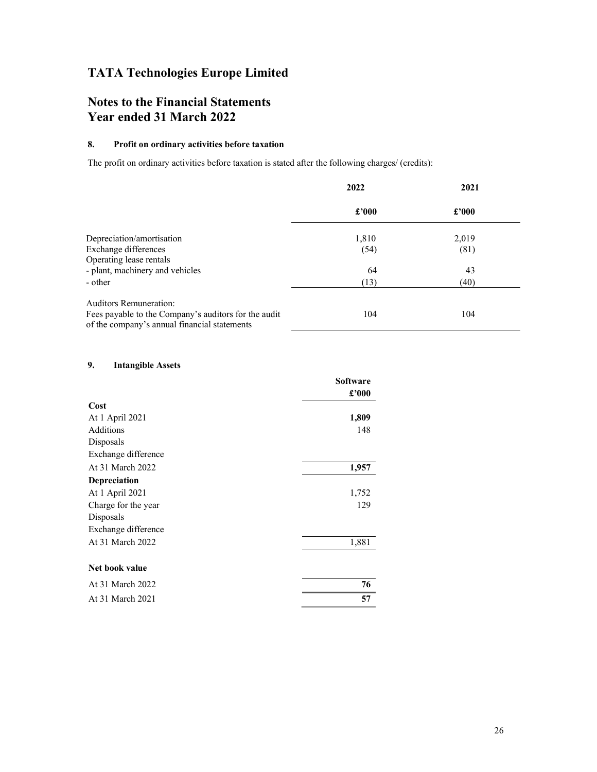# Notes to the Financial Statements Year ended 31 March 2022

#### 8. Profit on ordinary activities before taxation

The profit on ordinary activities before taxation is stated after the following charges/ (credits):

|                                                                                                      | 2022  | 2021  |
|------------------------------------------------------------------------------------------------------|-------|-------|
|                                                                                                      | £'000 | £2000 |
| Depreciation/amortisation                                                                            | 1,810 | 2,019 |
| Exchange differences                                                                                 | (54)  | (81)  |
| Operating lease rentals                                                                              |       |       |
| - plant, machinery and vehicles                                                                      | 64    | 43    |
| - other                                                                                              | (13)  | (40)  |
| <b>Auditors Remuneration:</b>                                                                        |       |       |
| Fees payable to the Company's auditors for the audit<br>of the company's annual financial statements | 104   | 104   |

#### 9. Intangible Assets

|                     | <b>Software</b> |
|---------------------|-----------------|
|                     | £'000           |
| Cost                |                 |
| At 1 April 2021     | 1,809           |
| Additions           | 148             |
| Disposals           |                 |
| Exchange difference |                 |
| At 31 March 2022    | 1,957           |
| Depreciation        |                 |
| At 1 April 2021     | 1,752           |
| Charge for the year | 129             |
| Disposals           |                 |
| Exchange difference |                 |
| At 31 March 2022    | 1,881           |
| Net book value      |                 |
| At 31 March 2022    | 76              |
| At 31 March 2021    | 57              |
|                     |                 |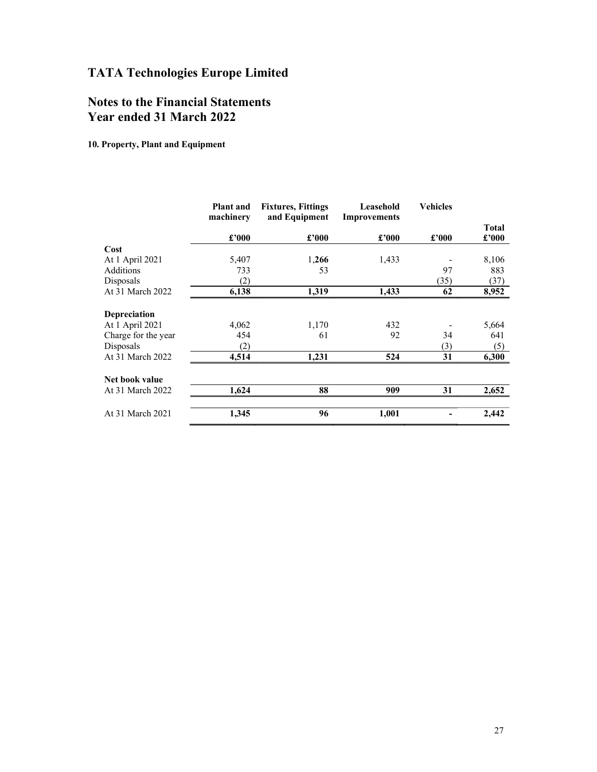# Notes to the Financial Statements Year ended 31 March 2022

10. Property, Plant and Equipment

| machinery<br>and Equipment<br><b>Improvements</b>                 |                                |
|-------------------------------------------------------------------|--------------------------------|
| $\pounds$ '000<br>$\pmb{\pounds}^{\,\prime}000$<br>£'000<br>£'000 | <b>Total</b><br>$\pounds$ '000 |
| Cost                                                              |                                |
| At 1 April 2021<br>1,433<br>5,407<br>1,266                        | 8,106                          |
| 97<br>Additions<br>53<br>733                                      | 883                            |
| (2)<br>(35)<br>Disposals                                          | (37)                           |
| At 31 March 2022<br>6,138<br>1,319<br>1,433<br>62                 | 8,952                          |
| Depreciation                                                      |                                |
| 4,062<br>1,170<br>432<br>At 1 April 2021                          | 5,664                          |
| 92<br>34<br>Charge for the year<br>454<br>61                      | 641                            |
| (2)<br>(3)<br>Disposals                                           | (5)                            |
| 31<br>At 31 March 2022<br>1,231<br>524<br>4,514                   | 6,300                          |
| Net book value                                                    |                                |
| 88<br>31<br>1,624<br>909<br>At 31 March 2022                      | 2,652                          |
| 96<br>1,001<br>At 31 March 2021<br>1,345                          | 2,442                          |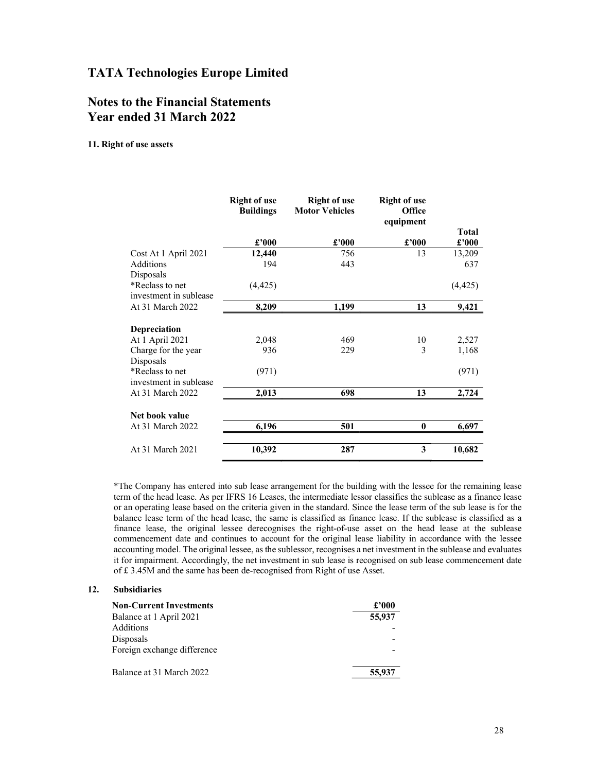# Notes to the Financial Statements Year ended 31 March 2022

#### 11. Right of use assets

|                        | <b>Right of use</b><br><b>Buildings</b> | <b>Right of use</b><br><b>Motor Vehicles</b> | <b>Right of use</b><br><b>Office</b><br>equipment |          |
|------------------------|-----------------------------------------|----------------------------------------------|---------------------------------------------------|----------|
|                        |                                         |                                              |                                                   | Total    |
|                        | £'000                                   | £'000                                        | £'000                                             | £'000    |
| Cost At 1 April 2021   | 12,440                                  | 756                                          | 13                                                | 13,209   |
| <b>Additions</b>       | 194                                     | 443                                          |                                                   | 637      |
| Disposals              |                                         |                                              |                                                   |          |
| *Reclass to net        | (4, 425)                                |                                              |                                                   | (4, 425) |
| investment in sublease |                                         |                                              |                                                   |          |
| At 31 March 2022       | 8,209                                   | 1,199                                        | 13                                                | 9,421    |
|                        |                                         |                                              |                                                   |          |
| Depreciation           |                                         |                                              |                                                   |          |
| At 1 April 2021        | 2,048                                   | 469                                          | 10                                                | 2,527    |
| Charge for the year    | 936                                     | 229                                          | 3                                                 | 1,168    |
| Disposals              |                                         |                                              |                                                   |          |
| *Reclass to net        | (971)                                   |                                              |                                                   | (971)    |
| investment in sublease |                                         |                                              |                                                   |          |
| At 31 March 2022       | 2,013                                   | 698                                          | 13                                                | 2,724    |
| Net book value         |                                         |                                              |                                                   |          |
|                        |                                         |                                              |                                                   |          |
| At 31 March 2022       | 6,196                                   | 501                                          | $\bf{0}$                                          | 6,697    |
| At 31 March 2021       | 10,392                                  | 287                                          | 3                                                 | 10,682   |

\*The Company has entered into sub lease arrangement for the building with the lessee for the remaining lease term of the head lease. As per IFRS 16 Leases, the intermediate lessor classifies the sublease as a finance lease or an operating lease based on the criteria given in the standard. Since the lease term of the sub lease is for the balance lease term of the head lease, the same is classified as finance lease. If the sublease is classified as a finance lease, the original lessee derecognises the right-of-use asset on the head lease at the sublease commencement date and continues to account for the original lease liability in accordance with the lessee accounting model. The original lessee, as the sublessor, recognises a net investment in the sublease and evaluates it for impairment. Accordingly, the net investment in sub lease is recognised on sub lease commencement date of £ 3.45M and the same has been de-recognised from Right of use Asset.

#### 12. Subsidiaries

| <b>Non-Current Investments</b> | £2000                    |
|--------------------------------|--------------------------|
| Balance at 1 April 2021        | 55,937                   |
| Additions                      |                          |
| Disposals                      | $\overline{\phantom{0}}$ |
| Foreign exchange difference    | $\overline{\phantom{0}}$ |
| Balance at 31 March 2022       | 55,937                   |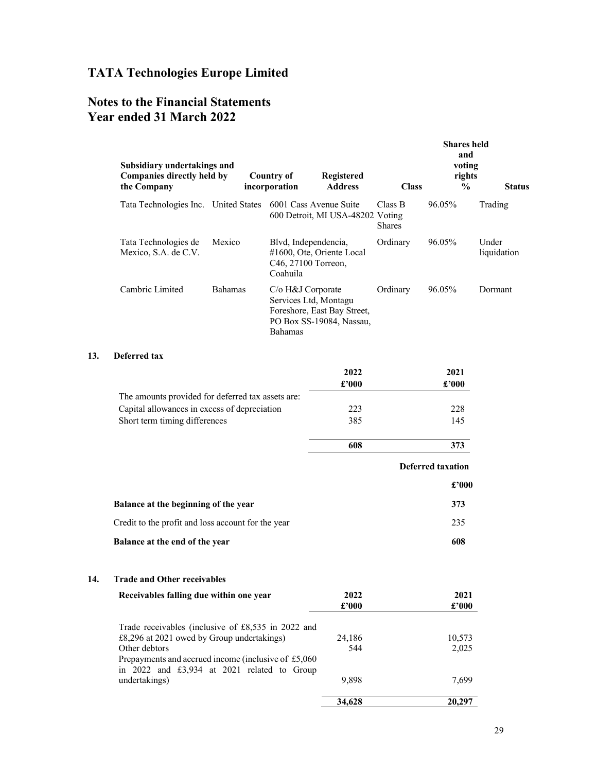# Notes to the Financial Statements Year ended 31 March 2022

|     | Subsidiary undertakings and<br>Companies directly held by<br>the Company                                                                                                 |                | <b>Country of</b><br>incorporation                           | Registered<br><b>Address</b>                            | <b>Class</b>             | <b>Shares</b> held<br>and<br>voting<br>rights<br>$\%$ | <b>Status</b>        |
|-----|--------------------------------------------------------------------------------------------------------------------------------------------------------------------------|----------------|--------------------------------------------------------------|---------------------------------------------------------|--------------------------|-------------------------------------------------------|----------------------|
|     | Tata Technologies Inc. United States 6001 Cass Avenue Suite                                                                                                              |                |                                                              | 600 Detroit, MI USA-48202 Voting                        | Class B<br><b>Shares</b> | 96.05%                                                | Trading              |
|     | Tata Technologies de<br>Mexico, S.A. de C.V.                                                                                                                             | Mexico         | Blvd, Independencia,<br>C46, 27100 Torreon,<br>Coahuila      | #1600, Ote, Oriente Local                               | Ordinary                 | 96.05%                                                | Under<br>liquidation |
|     | Cambric Limited                                                                                                                                                          | <b>Bahamas</b> | C/o H&J Corporate<br>Services Ltd, Montagu<br><b>Bahamas</b> | Foreshore, East Bay Street,<br>PO Box SS-19084, Nassau, | Ordinary                 | 96.05%                                                | Dormant              |
| 13. | Deferred tax                                                                                                                                                             |                |                                                              |                                                         |                          |                                                       |                      |
|     |                                                                                                                                                                          |                |                                                              | 2022<br>£'000                                           |                          | 2021<br>£'000                                         |                      |
|     | The amounts provided for deferred tax assets are:                                                                                                                        |                |                                                              |                                                         |                          |                                                       |                      |
|     | Capital allowances in excess of depreciation                                                                                                                             |                |                                                              | 223                                                     |                          | 228                                                   |                      |
|     | Short term timing differences                                                                                                                                            |                |                                                              | 385                                                     |                          | 145                                                   |                      |
|     |                                                                                                                                                                          |                |                                                              | 608                                                     |                          | 373                                                   |                      |
|     |                                                                                                                                                                          |                |                                                              |                                                         |                          | <b>Deferred taxation</b>                              |                      |
|     |                                                                                                                                                                          |                |                                                              |                                                         |                          | £'000                                                 |                      |
|     | Balance at the beginning of the year                                                                                                                                     |                |                                                              |                                                         |                          | 373                                                   |                      |
|     | Credit to the profit and loss account for the year                                                                                                                       |                |                                                              |                                                         |                          | 235                                                   |                      |
|     | Balance at the end of the year                                                                                                                                           |                |                                                              |                                                         |                          | 608                                                   |                      |
| 14. | <b>Trade and Other receivables</b>                                                                                                                                       |                |                                                              |                                                         |                          |                                                       |                      |
|     | Receivables falling due within one year                                                                                                                                  |                |                                                              | 2022<br>£'000                                           |                          | 2021<br>$\pmb{\pounds}$ '000                          |                      |
|     | Trade receivables (inclusive of £8,535 in 2022 and<br>£8,296 at 2021 owed by Group undertakings)<br>Other debtors<br>Prepayments and accrued income (inclusive of £5,060 |                |                                                              | 24,186<br>544                                           |                          | 10,573<br>2,025                                       |                      |
|     | in 2022 and £3,934 at 2021 related to Group<br>undertakings)                                                                                                             |                |                                                              | 9,898                                                   |                          | 7,699                                                 |                      |
|     |                                                                                                                                                                          |                |                                                              | 34,628                                                  |                          | 20,297                                                |                      |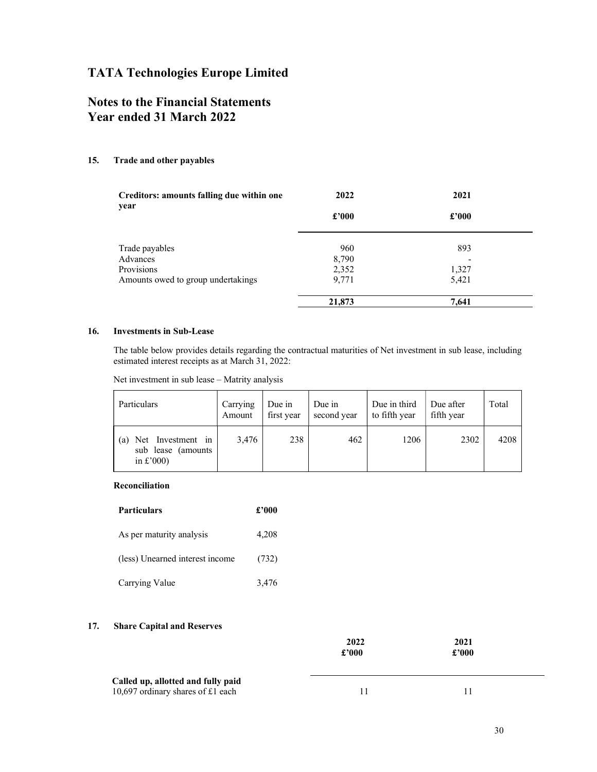# Notes to the Financial Statements Year ended 31 March 2022

#### 15. Trade and other payables

| Creditors: amounts falling due within one<br>year | 2022           | 2021  |
|---------------------------------------------------|----------------|-------|
|                                                   | $\pounds$ '000 | £'000 |
| Trade payables                                    | 960            | 893   |
| Advances                                          | 8,790          |       |
| Provisions                                        | 2,352          | 1,327 |
| Amounts owed to group undertakings                | 9,771          | 5,421 |
|                                                   | 21,873         | 7,641 |

#### 16. Investments in Sub-Lease

 The table below provides details regarding the contractual maturities of Net investment in sub lease, including estimated interest receipts as at March 31, 2022:

Net investment in sub lease – Matrity analysis

| Particulars                                                          | Carrying<br>Amount | Due in<br>first year | Due in<br>second year | Due in third<br>to fifth year | Due after<br>fifth year | Total |
|----------------------------------------------------------------------|--------------------|----------------------|-----------------------|-------------------------------|-------------------------|-------|
| Net Investment in<br>(a)<br>sub lease (amounts<br>in $\pounds$ '000) | 3.476              | 238                  | 462                   | 1206                          | 2302                    | 4208  |

#### Reconciliation

| <b>Particulars</b>              | $\pounds 000$ |
|---------------------------------|---------------|
| As per maturity analysis        | 4,208         |
| (less) Unearned interest income | (732)         |
| Carrying Value                  | 3,476         |

#### 17. Share Capital and Reserves

|                                                                         | 2022<br>£'000 | 2021<br>£'000 |  |
|-------------------------------------------------------------------------|---------------|---------------|--|
| Called up, allotted and fully paid<br>10,697 ordinary shares of £1 each |               |               |  |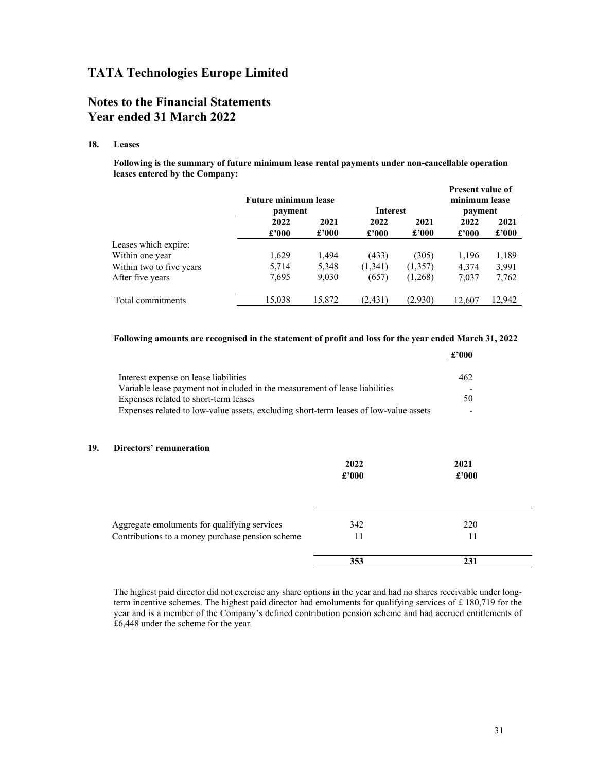# Notes to the Financial Statements Year ended 31 March 2022

#### 18. Leases

Following is the summary of future minimum lease rental payments under non-cancellable operation leases entered by the Company:

|                          | <b>Future minimum lease</b> |               |                 | <b>Present value of</b><br>minimum lease |               |                        |
|--------------------------|-----------------------------|---------------|-----------------|------------------------------------------|---------------|------------------------|
|                          | payment                     |               | <b>Interest</b> |                                          | payment       |                        |
|                          | 2022<br>£'000               | 2021<br>£'000 | 2022<br>£'000   | 2021<br>£'000                            | 2022<br>£2000 | 2021<br>$\pounds$ '000 |
| Leases which expire:     |                             |               |                 |                                          |               |                        |
| Within one year          | 1,629                       | 1,494         | (433)           | (305)                                    | 1,196         | 1,189                  |
| Within two to five years | 5,714                       | 5,348         | (1,341)         | (1,357)                                  | 4,374         | 3,991                  |
| After five years         | 7,695                       | 9,030         | (657)           | (1,268)                                  | 7,037         | 7,762                  |
| Total commitments        | 15,038                      | 15,872        | (2, 431)        | (2,930)                                  | 12.607        | 12,942                 |

#### Following amounts are recognised in the statement of profit and loss for the year ended March 31, 2022

|                                                                                       |                                       | £'000                                                                       |
|---------------------------------------------------------------------------------------|---------------------------------------|-----------------------------------------------------------------------------|
|                                                                                       | 462                                   |                                                                             |
|                                                                                       |                                       |                                                                             |
| Expenses related to short-term leases                                                 | 50                                    |                                                                             |
| Expenses related to low-value assets, excluding short-term leases of low-value assets |                                       | $\overline{\phantom{0}}$                                                    |
| Directors' remuneration                                                               | 2022<br>£'000                         | 2021<br>£'000                                                               |
| Aggregate emoluments for qualifying services                                          | 342                                   | 220                                                                         |
| Contributions to a money purchase pension scheme                                      | 11                                    | 11                                                                          |
|                                                                                       | 353                                   | 231                                                                         |
|                                                                                       | Interest expense on lease liabilities | Variable lease payment not included in the measurement of lease liabilities |

 The highest paid director did not exercise any share options in the year and had no shares receivable under longterm incentive schemes. The highest paid director had emoluments for qualifying services of £ 180,719 for the year and is a member of the Company's defined contribution pension scheme and had accrued entitlements of £6,448 under the scheme for the year.